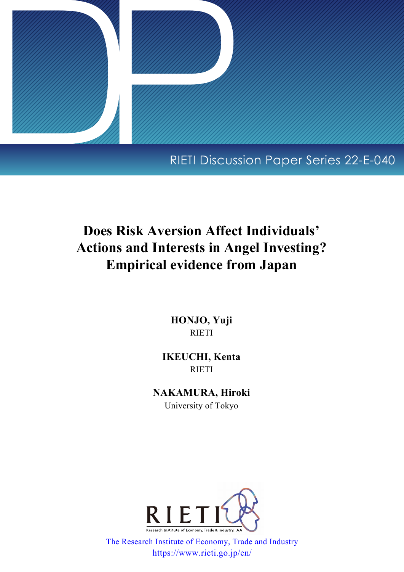

# RIETI Discussion Paper Series 22-E-040

# **Does Risk Aversion Affect Individuals' Actions and Interests in Angel Investing? Empirical evidence from Japan**

**HONJO, Yuji** RIETI

**IKEUCHI, Kenta** RIETI

**NAKAMURA, Hiroki** University of Tokyo



The Research Institute of Economy, Trade and Industry https://www.rieti.go.jp/en/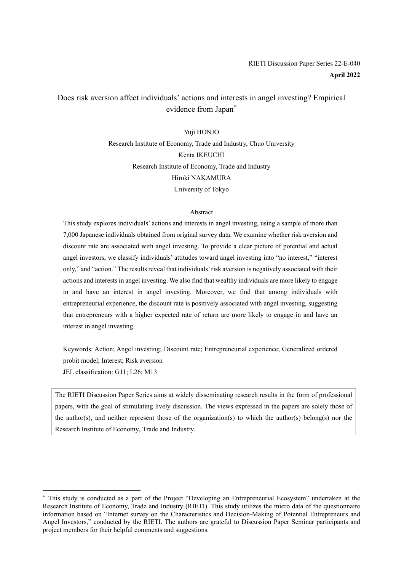# Does risk aversion affect individuals' actions and interests in angel investing? Empirical evidence from Japan[\\*](#page-1-0)

#### Yuji HONJO

Research Institute of Economy, Trade and Industry, Chuo University Kenta IKEUCHI Research Institute of Economy, Trade and Industry Hiroki NAKAMURA University of Tokyo

#### Abstract

This study explores individuals' actions and interests in angel investing, using a sample of more than 7,000 Japanese individuals obtained from original survey data. We examine whether risk aversion and discount rate are associated with angel investing. To provide a clear picture of potential and actual angel investors, we classify individuals' attitudes toward angel investing into "no interest," "interest only," and "action." The results reveal that individuals' risk aversion is negatively associated with their actions and interests in angel investing. We also find that wealthy individuals are more likely to engage in and have an interest in angel investing. Moreover, we find that among individuals with entrepreneurial experience, the discount rate is positively associated with angel investing, suggesting that entrepreneurs with a higher expected rate of return are more likely to engage in and have an interest in angel investing.

Keywords: Action; Angel investing; Discount rate; Entrepreneurial experience; Generalized ordered probit model; Interest; Risk aversion JEL classification: G11; L26; M13

The RIETI Discussion Paper Series aims at widely disseminating research results in the form of professional papers, with the goal of stimulating lively discussion. The views expressed in the papers are solely those of the author(s), and neither represent those of the organization(s) to which the author(s) belong(s) nor the Research Institute of Economy, Trade and Industry.

<span id="page-1-0"></span><sup>\*</sup> This study is conducted as a part of the Project "Developing an Entrepreneurial Ecosystem" undertaken at the Research Institute of Economy, Trade and Industry (RIETI). This study utilizes the micro data of the questionnaire information based on "Internet survey on the Characteristics and Decision-Making of Potential Entrepreneurs and Angel Investors," conducted by the RIETI. The authors are grateful to Discussion Paper Seminar participants and project members for their helpful comments and suggestions.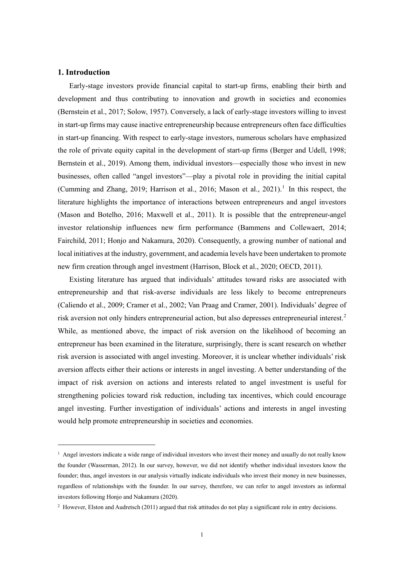## **1. Introduction**

Early-stage investors provide financial capital to start-up firms, enabling their birth and development and thus contributing to innovation and growth in societies and economies (Bernstein et al., 2017; Solow, 1957). Conversely, a lack of early-stage investors willing to invest in start-up firms may cause inactive entrepreneurship because entrepreneurs often face difficulties in start-up financing. With respect to early-stage investors, numerous scholars have emphasized the role of private equity capital in the development of start-up firms (Berger and Udell, 1998; Bernstein et al., 2019). Among them, individual investors—especially those who invest in new businesses, often called "angel investors"—play a pivotal role in providing the initial capital (Cumming and Zhang, 20[1](#page-2-0)9; Harrison et al., 2016; Mason et al., 2021).<sup>1</sup> In this respect, the literature highlights the importance of interactions between entrepreneurs and angel investors (Mason and Botelho, 2016; Maxwell et al., 2011). It is possible that the entrepreneur-angel investor relationship influences new firm performance (Bammens and Collewaert, 2014; Fairchild, 2011; Honjo and Nakamura, 2020). Consequently, a growing number of national and local initiatives at the industry, government, and academia levels have been undertaken to promote new firm creation through angel investment (Harrison, Block et al., 2020; OECD, 2011).

Existing literature has argued that individuals' attitudes toward risks are associated with entrepreneurship and that risk-averse individuals are less likely to become entrepreneurs (Caliendo et al., 2009; Cramer et al., 2002; Van Praag and Cramer, 2001). Individuals' degree of risk aversion not only hinders entrepreneurial action, but also depresses entrepreneurial interest. [2](#page-2-1) While, as mentioned above, the impact of risk aversion on the likelihood of becoming an entrepreneur has been examined in the literature, surprisingly, there is scant research on whether risk aversion is associated with angel investing. Moreover, it is unclear whether individuals' risk aversion affects either their actions or interests in angel investing. A better understanding of the impact of risk aversion on actions and interests related to angel investment is useful for strengthening policies toward risk reduction, including tax incentives, which could encourage angel investing. Further investigation of individuals' actions and interests in angel investing would help promote entrepreneurship in societies and economies.

<span id="page-2-0"></span><sup>&</sup>lt;sup>1</sup> Angel investors indicate a wide range of individual investors who invest their money and usually do not really know the founder (Wasserman, 2012). In our survey, however, we did not identify whether individual investors know the founder; thus, angel investors in our analysis virtually indicate individuals who invest their money in new businesses, regardless of relationships with the founder. In our survey, therefore, we can refer to angel investors as informal investors following Honjo and Nakamura (2020).

<span id="page-2-1"></span><sup>&</sup>lt;sup>2</sup> However, Elston and Audretsch (2011) argued that risk attitudes do not play a significant role in entry decisions.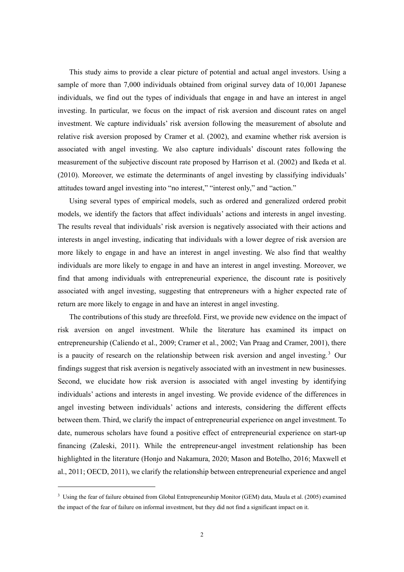This study aims to provide a clear picture of potential and actual angel investors. Using a sample of more than 7,000 individuals obtained from original survey data of 10,001 Japanese individuals, we find out the types of individuals that engage in and have an interest in angel investing. In particular, we focus on the impact of risk aversion and discount rates on angel investment. We capture individuals' risk aversion following the measurement of absolute and relative risk aversion proposed by Cramer et al. (2002), and examine whether risk aversion is associated with angel investing. We also capture individuals' discount rates following the measurement of the subjective discount rate proposed by Harrison et al. (2002) and Ikeda et al. (2010). Moreover, we estimate the determinants of angel investing by classifying individuals' attitudes toward angel investing into "no interest," "interest only," and "action."

Using several types of empirical models, such as ordered and generalized ordered probit models, we identify the factors that affect individuals' actions and interests in angel investing. The results reveal that individuals' risk aversion is negatively associated with their actions and interests in angel investing, indicating that individuals with a lower degree of risk aversion are more likely to engage in and have an interest in angel investing. We also find that wealthy individuals are more likely to engage in and have an interest in angel investing. Moreover, we find that among individuals with entrepreneurial experience, the discount rate is positively associated with angel investing, suggesting that entrepreneurs with a higher expected rate of return are more likely to engage in and have an interest in angel investing.

The contributions of this study are threefold. First, we provide new evidence on the impact of risk aversion on angel investment. While the literature has examined its impact on entrepreneurship (Caliendo et al., 2009; Cramer et al., 2002; Van Praag and Cramer, 2001), there is a paucity of research on the relationship between risk aversion and angel investing.<sup>[3](#page-3-0)</sup> Our findings suggest that risk aversion is negatively associated with an investment in new businesses. Second, we elucidate how risk aversion is associated with angel investing by identifying individuals' actions and interests in angel investing. We provide evidence of the differences in angel investing between individuals' actions and interests, considering the different effects between them. Third, we clarify the impact of entrepreneurial experience on angel investment. To date, numerous scholars have found a positive effect of entrepreneurial experience on start-up financing (Zaleski, 2011). While the entrepreneur-angel investment relationship has been highlighted in the literature (Honjo and Nakamura, 2020; Mason and Botelho, 2016; Maxwell et al., 2011; OECD, 2011), we clarify the relationship between entrepreneurial experience and angel

<span id="page-3-0"></span><sup>3</sup> Using the fear of failure obtained from Global Entrepreneurship Monitor (GEM) data, Maula et al. (2005) examined the impact of the fear of failure on informal investment, but they did not find a significant impact on it.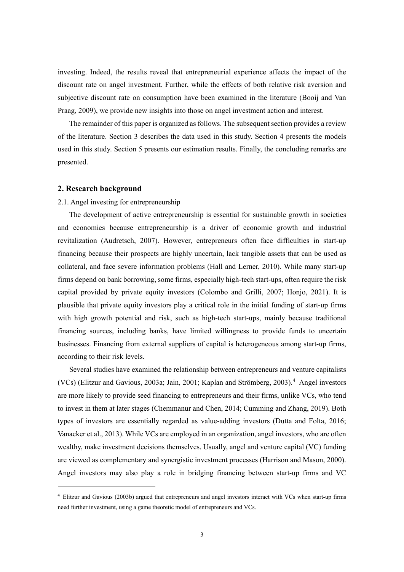investing. Indeed, the results reveal that entrepreneurial experience affects the impact of the discount rate on angel investment. Further, while the effects of both relative risk aversion and subjective discount rate on consumption have been examined in the literature (Booij and Van Praag, 2009), we provide new insights into those on angel investment action and interest.

The remainder of this paper is organized as follows. The subsequent section provides a review of the literature. Section 3 describes the data used in this study. Section 4 presents the models used in this study. Section 5 presents our estimation results. Finally, the concluding remarks are presented.

#### **2. Research background**

#### 2.1. Angel investing for entrepreneurship

The development of active entrepreneurship is essential for sustainable growth in societies and economies because entrepreneurship is a driver of economic growth and industrial revitalization (Audretsch, 2007). However, entrepreneurs often face difficulties in start-up financing because their prospects are highly uncertain, lack tangible assets that can be used as collateral, and face severe information problems (Hall and Lerner, 2010). While many start-up firms depend on bank borrowing, some firms, especially high-tech start-ups, often require the risk capital provided by private equity investors (Colombo and Grilli, 2007; Honjo, 2021). It is plausible that private equity investors play a critical role in the initial funding of start-up firms with high growth potential and risk, such as high-tech start-ups, mainly because traditional financing sources, including banks, have limited willingness to provide funds to uncertain businesses. Financing from external suppliers of capital is heterogeneous among start-up firms, according to their risk levels.

Several studies have examined the relationship between entrepreneurs and venture capitalists (VCs) (Elitzur and Gavious, 2003a; Jain, 2001; Kaplan and Strömberg, 2003).<sup>[4](#page-4-0)</sup> Angel investors are more likely to provide seed financing to entrepreneurs and their firms, unlike VCs, who tend to invest in them at later stages (Chemmanur and Chen, 2014; Cumming and Zhang, 2019). Both types of investors are essentially regarded as value-adding investors (Dutta and Folta, 2016; Vanacker et al., 2013). While VCs are employed in an organization, angel investors, who are often wealthy, make investment decisions themselves. Usually, angel and venture capital (VC) funding are viewed as complementary and synergistic investment processes (Harrison and Mason, 2000). Angel investors may also play a role in bridging financing between start-up firms and VC

<span id="page-4-0"></span><sup>4</sup> Elitzur and Gavious (2003b) argued that entrepreneurs and angel investors interact with VCs when start-up firms need further investment, using a game theoretic model of entrepreneurs and VCs.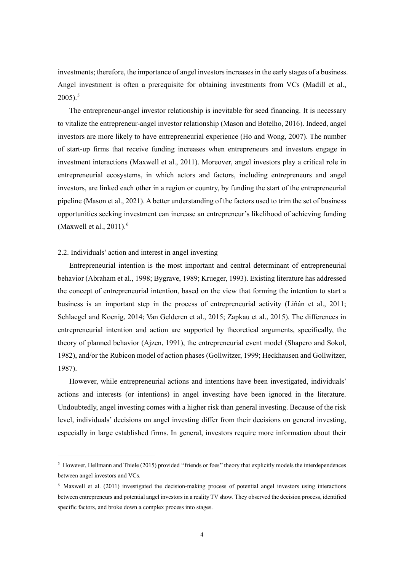investments; therefore, the importance of angel investors increases in the early stages of a business. Angel investment is often a prerequisite for obtaining investments from VCs (Madill et al.,  $2005$  $2005$ ).<sup>5</sup>

The entrepreneur-angel investor relationship is inevitable for seed financing. It is necessary to vitalize the entrepreneur-angel investor relationship (Mason and Botelho, 2016). Indeed, angel investors are more likely to have entrepreneurial experience (Ho and Wong, 2007). The number of start-up firms that receive funding increases when entrepreneurs and investors engage in investment interactions (Maxwell et al., 2011). Moreover, angel investors play a critical role in entrepreneurial ecosystems, in which actors and factors, including entrepreneurs and angel investors, are linked each other in a region or country, by funding the start of the entrepreneurial pipeline (Mason et al., 2021). A better understanding of the factors used to trim the set of business opportunities seeking investment can increase an entrepreneur's likelihood of achieving funding (Maxwell et al.,  $2011$ ).<sup>[6](#page-5-1)</sup>

#### 2.2. Individuals' action and interest in angel investing

Entrepreneurial intention is the most important and central determinant of entrepreneurial behavior (Abraham et al., 1998; Bygrave, 1989; Krueger, 1993). Existing literature has addressed the concept of entrepreneurial intention, based on the view that forming the intention to start a business is an important step in the process of entrepreneurial activity (Liñán et al., 2011; Schlaegel and Koenig, 2014; Van Gelderen et al., 2015; Zapkau et al., 2015). The differences in entrepreneurial intention and action are supported by theoretical arguments, specifically, the theory of planned behavior (Ajzen, 1991), the entrepreneurial event model (Shapero and Sokol, 1982), and/or the Rubicon model of action phases (Gollwitzer, 1999; Heckhausen and Gollwitzer, 1987).

However, while entrepreneurial actions and intentions have been investigated, individuals' actions and interests (or intentions) in angel investing have been ignored in the literature. Undoubtedly, angel investing comes with a higher risk than general investing. Because of the risk level, individuals' decisions on angel investing differ from their decisions on general investing, especially in large established firms. In general, investors require more information about their

<span id="page-5-0"></span> $<sup>5</sup>$  However, Hellmann and Thiele (2015) provided "friends or foes" theory that explicitly models the interdependences</sup> between angel investors and VCs.

<span id="page-5-1"></span><sup>6</sup> Maxwell et al. (2011) investigated the decision-making process of potential angel investors using interactions between entrepreneurs and potential angel investors in a reality TV show. They observed the decision process, identified specific factors, and broke down a complex process into stages.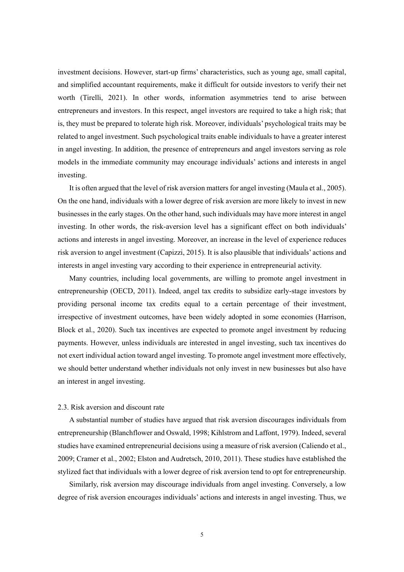investment decisions. However, start-up firms' characteristics, such as young age, small capital, and simplified accountant requirements, make it difficult for outside investors to verify their net worth (Tirelli, 2021). In other words, information asymmetries tend to arise between entrepreneurs and investors. In this respect, angel investors are required to take a high risk; that is, they must be prepared to tolerate high risk. Moreover, individuals' psychological traits may be related to angel investment. Such psychological traits enable individuals to have a greater interest in angel investing. In addition, the presence of entrepreneurs and angel investors serving as role models in the immediate community may encourage individuals' actions and interests in angel investing.

It is often argued that the level of risk aversion matters for angel investing (Maula et al., 2005). On the one hand, individuals with a lower degree of risk aversion are more likely to invest in new businesses in the early stages. On the other hand, such individuals may have more interest in angel investing. In other words, the risk-aversion level has a significant effect on both individuals' actions and interests in angel investing. Moreover, an increase in the level of experience reduces risk aversion to angel investment (Capizzi, 2015). It is also plausible that individuals' actions and interests in angel investing vary according to their experience in entrepreneurial activity.

Many countries, including local governments, are willing to promote angel investment in entrepreneurship (OECD, 2011). Indeed, angel tax credits to subsidize early-stage investors by providing personal income tax credits equal to a certain percentage of their investment, irrespective of investment outcomes, have been widely adopted in some economies (Harrison, Block et al., 2020). Such tax incentives are expected to promote angel investment by reducing payments. However, unless individuals are interested in angel investing, such tax incentives do not exert individual action toward angel investing. To promote angel investment more effectively, we should better understand whether individuals not only invest in new businesses but also have an interest in angel investing.

# 2.3. Risk aversion and discount rate

A substantial number of studies have argued that risk aversion discourages individuals from entrepreneurship (Blanchflower and Oswald, 1998; Kihlstrom and Laffont, 1979). Indeed, several studies have examined entrepreneurial decisions using a measure of risk aversion (Caliendo et al., 2009; Cramer et al., 2002; Elston and Audretsch, 2010, 2011). These studies have established the stylized fact that individuals with a lower degree of risk aversion tend to opt for entrepreneurship.

Similarly, risk aversion may discourage individuals from angel investing. Conversely, a low degree of risk aversion encourages individuals' actions and interests in angel investing. Thus, we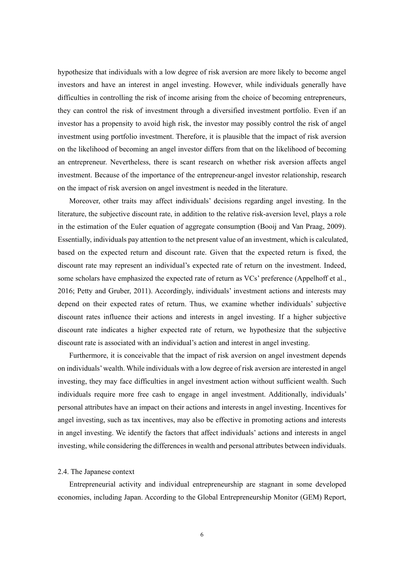hypothesize that individuals with a low degree of risk aversion are more likely to become angel investors and have an interest in angel investing. However, while individuals generally have difficulties in controlling the risk of income arising from the choice of becoming entrepreneurs, they can control the risk of investment through a diversified investment portfolio. Even if an investor has a propensity to avoid high risk, the investor may possibly control the risk of angel investment using portfolio investment. Therefore, it is plausible that the impact of risk aversion on the likelihood of becoming an angel investor differs from that on the likelihood of becoming an entrepreneur. Nevertheless, there is scant research on whether risk aversion affects angel investment. Because of the importance of the entrepreneur-angel investor relationship, research on the impact of risk aversion on angel investment is needed in the literature.

Moreover, other traits may affect individuals' decisions regarding angel investing. In the literature, the subjective discount rate, in addition to the relative risk-aversion level, plays a role in the estimation of the Euler equation of aggregate consumption (Booij and Van Praag, 2009). Essentially, individuals pay attention to the net present value of an investment, which is calculated, based on the expected return and discount rate. Given that the expected return is fixed, the discount rate may represent an individual's expected rate of return on the investment. Indeed, some scholars have emphasized the expected rate of return as VCs' preference (Appelhoff et al., 2016; Petty and Gruber, 2011). Accordingly, individuals' investment actions and interests may depend on their expected rates of return. Thus, we examine whether individuals' subjective discount rates influence their actions and interests in angel investing. If a higher subjective discount rate indicates a higher expected rate of return, we hypothesize that the subjective discount rate is associated with an individual's action and interest in angel investing.

Furthermore, it is conceivable that the impact of risk aversion on angel investment depends on individuals' wealth. While individuals with a low degree of risk aversion are interested in angel investing, they may face difficulties in angel investment action without sufficient wealth. Such individuals require more free cash to engage in angel investment. Additionally, individuals' personal attributes have an impact on their actions and interests in angel investing. Incentives for angel investing, such as tax incentives, may also be effective in promoting actions and interests in angel investing. We identify the factors that affect individuals' actions and interests in angel investing, while considering the differences in wealth and personal attributes between individuals.

#### 2.4. The Japanese context

Entrepreneurial activity and individual entrepreneurship are stagnant in some developed economies, including Japan. According to the Global Entrepreneurship Monitor (GEM) Report,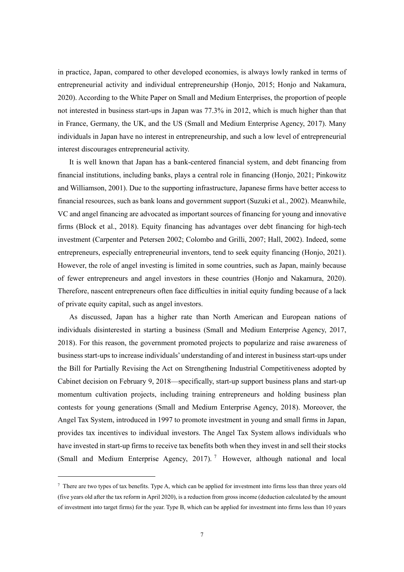in practice, Japan, compared to other developed economies, is always lowly ranked in terms of entrepreneurial activity and individual entrepreneurship (Honjo, 2015; Honjo and Nakamura, 2020). According to the White Paper on Small and Medium Enterprises, the proportion of people not interested in business start-ups in Japan was 77.3% in 2012, which is much higher than that in France, Germany, the UK, and the US (Small and Medium Enterprise Agency, 2017). Many individuals in Japan have no interest in entrepreneurship, and such a low level of entrepreneurial interest discourages entrepreneurial activity.

It is well known that Japan has a bank-centered financial system, and debt financing from financial institutions, including banks, plays a central role in financing (Honjo, 2021; Pinkowitz and Williamson, 2001). Due to the supporting infrastructure, Japanese firms have better access to financial resources, such as bank loans and government support (Suzuki et al., 2002). Meanwhile, VC and angel financing are advocated as important sources of financing for young and innovative firms (Block et al., 2018). Equity financing has advantages over debt financing for high-tech investment (Carpenter and Petersen 2002; Colombo and Grilli, 2007; Hall, 2002). Indeed, some entrepreneurs, especially entrepreneurial inventors, tend to seek equity financing (Honjo, 2021). However, the role of angel investing is limited in some countries, such as Japan, mainly because of fewer entrepreneurs and angel investors in these countries (Honjo and Nakamura, 2020). Therefore, nascent entrepreneurs often face difficulties in initial equity funding because of a lack of private equity capital, such as angel investors.

As discussed, Japan has a higher rate than North American and European nations of individuals disinterested in starting a business (Small and Medium Enterprise Agency, 2017, 2018). For this reason, the government promoted projects to popularize and raise awareness of business start-ups to increase individuals' understanding of and interest in business start-ups under the Bill for Partially Revising the Act on Strengthening Industrial Competitiveness adopted by Cabinet decision on February 9, 2018—specifically, start-up support business plans and start-up momentum cultivation projects, including training entrepreneurs and holding business plan contests for young generations (Small and Medium Enterprise Agency, 2018). Moreover, the Angel Tax System, introduced in 1997 to promote investment in young and small firms in Japan, provides tax incentives to individual investors. The Angel Tax System allows individuals who have invested in start-up firms to receive tax benefits both when they invest in and sell their stocks (Small and Medium Enterprise Agency, 201[7](#page-8-0)).<sup>7</sup> However, although national and local

<span id="page-8-0"></span> $7$  There are two types of tax benefits. Type A, which can be applied for investment into firms less than three years old (five years old after the tax reform in April 2020), is a reduction from gross income (deduction calculated by the amount of investment into target firms) for the year. Type B, which can be applied for investment into firms less than 10 years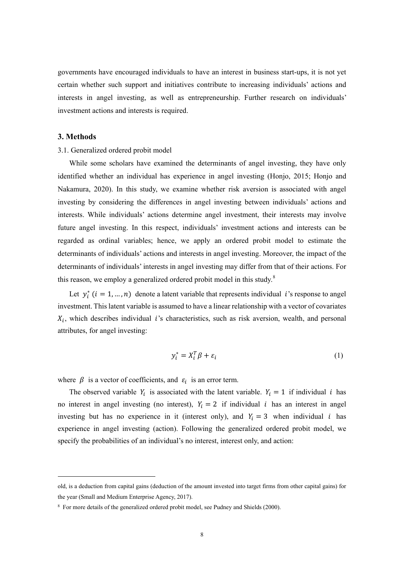governments have encouraged individuals to have an interest in business start-ups, it is not yet certain whether such support and initiatives contribute to increasing individuals' actions and interests in angel investing, as well as entrepreneurship. Further research on individuals' investment actions and interests is required.

#### **3. Methods**

#### 3.1. Generalized ordered probit model

While some scholars have examined the determinants of angel investing, they have only identified whether an individual has experience in angel investing (Honjo, 2015; Honjo and Nakamura, 2020). In this study, we examine whether risk aversion is associated with angel investing by considering the differences in angel investing between individuals' actions and interests. While individuals' actions determine angel investment, their interests may involve future angel investing. In this respect, individuals' investment actions and interests can be regarded as ordinal variables; hence, we apply an ordered probit model to estimate the determinants of individuals' actions and interests in angel investing. Moreover, the impact of the determinants of individuals' interests in angel investing may differ from that of their actions. For this reason, we employ a generalized ordered probit model in this study. $8$ 

Let  $y_i^*(i = 1, ..., n)$  denote a latent variable that represents individual *i*'s response to angel investment. This latent variable is assumed to have a linear relationship with a vector of covariates  $X_i$ , which describes individual *i*'s characteristics, such as risk aversion, wealth, and personal attributes, for angel investing:

$$
y_i^* = X_i^T \beta + \varepsilon_i \tag{1}
$$

where  $\beta$  is a vector of coefficients, and  $\varepsilon_i$  is an error term.

The observed variable  $Y_i$  is associated with the latent variable.  $Y_i = 1$  if individual *i* has no interest in angel investing (no interest),  $Y_i = 2$  if individual *i* has an interest in angel investing but has no experience in it (interest only), and  $Y_i = 3$  when individual *i* has experience in angel investing (action). Following the generalized ordered probit model, we specify the probabilities of an individual's no interest, interest only, and action:

old, is a deduction from capital gains (deduction of the amount invested into target firms from other capital gains) for the year (Small and Medium Enterprise Agency, 2017).

<span id="page-9-0"></span><sup>&</sup>lt;sup>8</sup> For more details of the generalized ordered probit model, see Pudney and Shields (2000).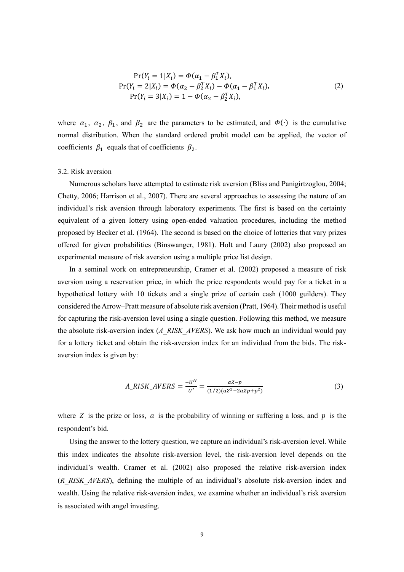$$
Pr(Y_i = 1 | X_i) = \Phi(\alpha_1 - \beta_1^T X_i),
$$
  
\n
$$
Pr(Y_i = 2 | X_i) = \Phi(\alpha_2 - \beta_2^T X_i) - \Phi(\alpha_1 - \beta_1^T X_i),
$$
  
\n
$$
Pr(Y_i = 3 | X_i) = 1 - \Phi(\alpha_2 - \beta_2^T X_i),
$$
\n(2)

where  $\alpha_1$ ,  $\alpha_2$ ,  $\beta_1$ , and  $\beta_2$  are the parameters to be estimated, and  $\Phi(\cdot)$  is the cumulative normal distribution. When the standard ordered probit model can be applied, the vector of coefficients  $\beta_1$  equals that of coefficients  $\beta_2$ .

#### 3.2. Risk aversion

Numerous scholars have attempted to estimate risk aversion (Bliss and Panigirtzoglou, 2004; Chetty, 2006; Harrison et al., 2007). There are several approaches to assessing the nature of an individual's risk aversion through laboratory experiments. The first is based on the certainty equivalent of a given lottery using open-ended valuation procedures, including the method proposed by Becker et al. (1964). The second is based on the choice of lotteries that vary prizes offered for given probabilities (Binswanger, 1981). Holt and Laury (2002) also proposed an experimental measure of risk aversion using a multiple price list design.

In a seminal work on entrepreneurship, Cramer et al. (2002) proposed a measure of risk aversion using a reservation price, in which the price respondents would pay for a ticket in a hypothetical lottery with 10 tickets and a single prize of certain cash (1000 guilders). They considered the Arrow–Pratt measure of absolute risk aversion (Pratt, 1964). Their method is useful for capturing the risk-aversion level using a single question. Following this method, we measure the absolute risk-aversion index (*A\_RISK\_AVERS*). We ask how much an individual would pay for a lottery ticket and obtain the risk-aversion index for an individual from the bids. The riskaversion index is given by:

$$
A\_RISK\_AVERSE = \frac{-u''}{u'} = \frac{az - p}{(1/2)(az^2 - 2azp + p^2)}
$$
(3)

where Z is the prize or loss,  $\alpha$  is the probability of winning or suffering a loss, and  $\beta$  is the respondent's bid.

Using the answer to the lottery question, we capture an individual's risk-aversion level. While this index indicates the absolute risk-aversion level, the risk-aversion level depends on the individual's wealth. Cramer et al. (2002) also proposed the relative risk-aversion index (*R\_RISK\_AVERS*), defining the multiple of an individual's absolute risk-aversion index and wealth. Using the relative risk-aversion index, we examine whether an individual's risk aversion is associated with angel investing.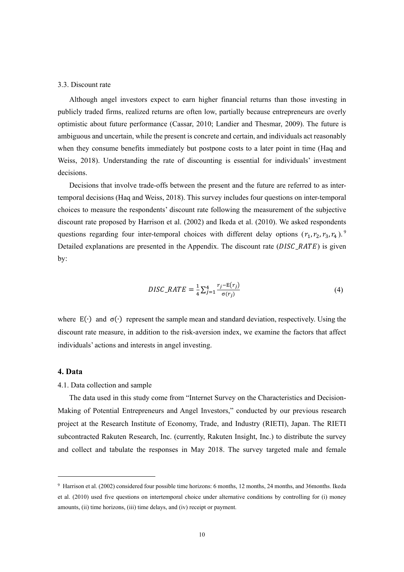#### 3.3. Discount rate

Although angel investors expect to earn higher financial returns than those investing in publicly traded firms, realized returns are often low, partially because entrepreneurs are overly optimistic about future performance (Cassar, 2010; Landier and Thesmar, 2009). The future is ambiguous and uncertain, while the present is concrete and certain, and individuals act reasonably when they consume benefits immediately but postpone costs to a later point in time (Haq and Weiss, 2018). Understanding the rate of discounting is essential for individuals' investment decisions.

Decisions that involve trade-offs between the present and the future are referred to as intertemporal decisions (Haq and Weiss, 2018). This survey includes four questions on inter-temporal choices to measure the respondents' discount rate following the measurement of the subjective discount rate proposed by Harrison et al. (2002) and Ikeda et al. (2010). We asked respondents questions regarding four inter-temporal choices with different delay options  $(r_1, r_2, r_3, r_4)$ . Detailed explanations are presented in the Appendix. The discount rate  $(DISC\_RATE)$  is given by:

$$
DISC\_RATE = \frac{1}{4} \sum_{j=1}^{4} \frac{r_j - E(r_j)}{\sigma(r_j)}
$$
(4)

where  $E(\cdot)$  and  $\sigma(\cdot)$  represent the sample mean and standard deviation, respectively. Using the discount rate measure, in addition to the risk-aversion index, we examine the factors that affect individuals' actions and interests in angel investing.

## **4. Data**

#### 4.1. Data collection and sample

The data used in this study come from "Internet Survey on the Characteristics and Decision-Making of Potential Entrepreneurs and Angel Investors," conducted by our previous research project at the Research Institute of Economy, Trade, and Industry (RIETI), Japan. The RIETI subcontracted Rakuten Research, Inc. (currently, Rakuten Insight, Inc.) to distribute the survey and collect and tabulate the responses in May 2018. The survey targeted male and female

<span id="page-11-0"></span><sup>9</sup> Harrison et al. (2002) considered four possible time horizons: 6 months, 12 months, 24 months, and 36months. Ikeda et al. (2010) used five questions on intertemporal choice under alternative conditions by controlling for (i) money amounts, (ii) time horizons, (iii) time delays, and (iv) receipt or payment.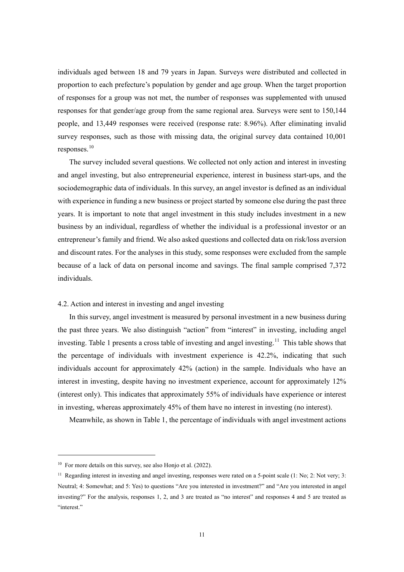individuals aged between 18 and 79 years in Japan. Surveys were distributed and collected in proportion to each prefecture's population by gender and age group. When the target proportion of responses for a group was not met, the number of responses was supplemented with unused responses for that gender/age group from the same regional area. Surveys were sent to 150,144 people, and 13,449 responses were received (response rate: 8.96%). After eliminating invalid survey responses, such as those with missing data, the original survey data contained 10,001 responses. [10](#page-12-0)

The survey included several questions. We collected not only action and interest in investing and angel investing, but also entrepreneurial experience, interest in business start-ups, and the sociodemographic data of individuals. In this survey, an angel investor is defined as an individual with experience in funding a new business or project started by someone else during the past three years. It is important to note that angel investment in this study includes investment in a new business by an individual, regardless of whether the individual is a professional investor or an entrepreneur's family and friend. We also asked questions and collected data on risk/loss aversion and discount rates. For the analyses in this study, some responses were excluded from the sample because of a lack of data on personal income and savings. The final sample comprised 7,372 individuals.

# 4.2. Action and interest in investing and angel investing

In this survey, angel investment is measured by personal investment in a new business during the past three years. We also distinguish "action" from "interest" in investing, including angel investing. Table 1 presents a cross table of investing and angel investing.<sup>[11](#page-12-1)</sup> This table shows that the percentage of individuals with investment experience is 42.2%, indicating that such individuals account for approximately 42% (action) in the sample. Individuals who have an interest in investing, despite having no investment experience, account for approximately 12% (interest only). This indicates that approximately 55% of individuals have experience or interest in investing, whereas approximately 45% of them have no interest in investing (no interest).

Meanwhile, as shown in Table 1, the percentage of individuals with angel investment actions

<span id="page-12-0"></span> $10$  For more details on this survey, see also Honio et al. (2022).

<span id="page-12-1"></span><sup>&</sup>lt;sup>11</sup> Regarding interest in investing and angel investing, responses were rated on a 5-point scale  $(1: No; 2: Not very; 3: 1)$ Neutral; 4: Somewhat; and 5: Yes) to questions "Are you interested in investment?" and "Are you interested in angel investing?" For the analysis, responses 1, 2, and 3 are treated as "no interest" and responses 4 and 5 are treated as "interest."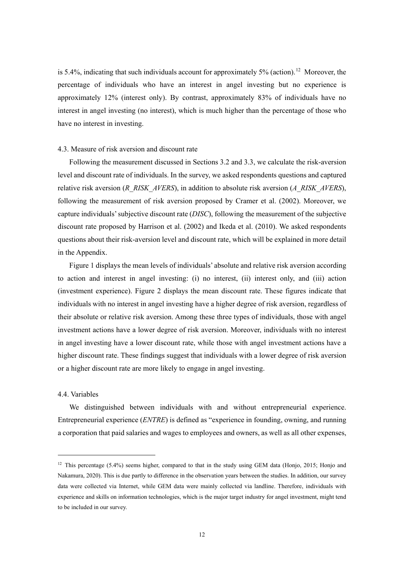is 5.4%, indicating that such individuals account for approximately 5% (action).<sup>[12](#page-13-0)</sup> Moreover, the percentage of individuals who have an interest in angel investing but no experience is approximately 12% (interest only). By contrast, approximately 83% of individuals have no interest in angel investing (no interest), which is much higher than the percentage of those who have no interest in investing.

#### 4.3. Measure of risk aversion and discount rate

Following the measurement discussed in Sections 3.2 and 3.3, we calculate the risk-aversion level and discount rate of individuals. In the survey, we asked respondents questions and captured relative risk aversion (*R\_RISK\_AVERS*), in addition to absolute risk aversion (*A\_RISK\_AVERS*), following the measurement of risk aversion proposed by Cramer et al. (2002). Moreover, we capture individuals' subjective discount rate (*DISC*), following the measurement of the subjective discount rate proposed by Harrison et al. (2002) and Ikeda et al. (2010). We asked respondents questions about their risk-aversion level and discount rate, which will be explained in more detail in the Appendix.

Figure 1 displays the mean levels of individuals' absolute and relative risk aversion according to action and interest in angel investing: (i) no interest, (ii) interest only, and (iii) action (investment experience). Figure 2 displays the mean discount rate. These figures indicate that individuals with no interest in angel investing have a higher degree of risk aversion, regardless of their absolute or relative risk aversion. Among these three types of individuals, those with angel investment actions have a lower degree of risk aversion. Moreover, individuals with no interest in angel investing have a lower discount rate, while those with angel investment actions have a higher discount rate. These findings suggest that individuals with a lower degree of risk aversion or a higher discount rate are more likely to engage in angel investing.

#### 4.4. Variables

We distinguished between individuals with and without entrepreneurial experience. Entrepreneurial experience (*ENTRE*) is defined as "experience in founding, owning, and running a corporation that paid salaries and wages to employees and owners, as well as all other expenses,

<span id="page-13-0"></span> $12$  This percentage (5.4%) seems higher, compared to that in the study using GEM data (Honjo, 2015; Honjo and Nakamura, 2020). This is due partly to difference in the observation years between the studies. In addition, our survey data were collected via Internet, while GEM data were mainly collected via landline. Therefore, individuals with experience and skills on information technologies, which is the major target industry for angel investment, might tend to be included in our survey.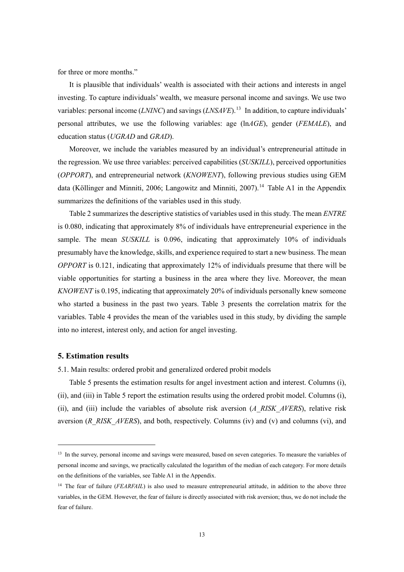for three or more months."

It is plausible that individuals' wealth is associated with their actions and interests in angel investing. To capture individuals' wealth, we measure personal income and savings. We use two variables: personal income *(LNINC)* and savings *(LNSAVE)*.<sup>[13](#page-14-0)</sup> In addition, to capture individuals' personal attributes, we use the following variables: age (ln*AGE*), gender (*FEMALE*), and education status (*UGRAD* and *GRAD*).

Moreover, we include the variables measured by an individual's entrepreneurial attitude in the regression. We use three variables: perceived capabilities (*SUSKILL*), perceived opportunities (*OPPORT*), and entrepreneurial network (*KNOWENT*), following previous studies using GEM data (Köllinger and Minniti, 2006; Langowitz and Minniti, 2007).<sup>[14](#page-14-1)</sup> Table A1 in the Appendix summarizes the definitions of the variables used in this study.

Table 2 summarizes the descriptive statistics of variables used in this study. The mean *ENTRE* is 0.080, indicating that approximately 8% of individuals have entrepreneurial experience in the sample. The mean *SUSKILL* is 0.096, indicating that approximately 10% of individuals presumably have the knowledge, skills, and experience required to start a new business. The mean *OPPORT* is 0.121, indicating that approximately 12% of individuals presume that there will be viable opportunities for starting a business in the area where they live. Moreover, the mean *KNOWENT* is 0.195, indicating that approximately 20% of individuals personally knew someone who started a business in the past two years. Table 3 presents the correlation matrix for the variables. Table 4 provides the mean of the variables used in this study, by dividing the sample into no interest, interest only, and action for angel investing.

## **5. Estimation results**

5.1. Main results: ordered probit and generalized ordered probit models

Table 5 presents the estimation results for angel investment action and interest. Columns (i), (ii), and (iii) in Table 5 report the estimation results using the ordered probit model. Columns (i), (ii), and (iii) include the variables of absolute risk aversion (*A\_RISK\_AVERS*), relative risk aversion (*R\_RISK\_AVERS*), and both, respectively. Columns (iv) and (v) and columns (vi), and

<span id="page-14-0"></span><sup>&</sup>lt;sup>13</sup> In the survey, personal income and savings were measured, based on seven categories. To measure the variables of personal income and savings, we practically calculated the logarithm of the median of each category. For more details on the definitions of the variables, see Table A1 in the Appendix.

<span id="page-14-1"></span><sup>&</sup>lt;sup>14</sup> The fear of failure (*FEARFAIL*) is also used to measure entrepreneurial attitude, in addition to the above three variables, in the GEM. However, the fear of failure is directly associated with risk aversion; thus, we do not include the fear of failure.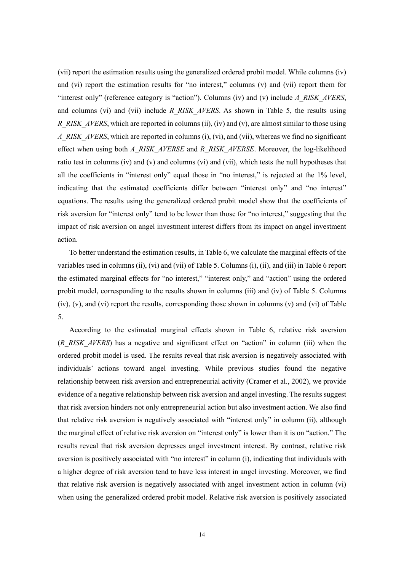(vii) report the estimation results using the generalized ordered probit model. While columns (iv) and (vi) report the estimation results for "no interest," columns (v) and (vii) report them for "interest only" (reference category is "action"). Columns (iv) and (v) include *A\_RISK\_AVERS*, and columns (vi) and (vii) include *R\_RISK\_AVERS*. As shown in Table 5, the results using *R\_RISK\_AVERS*, which are reported in columns (ii), (iv) and (v), are almost similar to those using *A\_RISK\_AVERS*, which are reported in columns (i), (vi), and (vii), whereas we find no significant effect when using both *A\_RISK\_AVERSE* and *R\_RISK\_AVERSE*. Moreover, the log-likelihood ratio test in columns (iv) and (v) and columns (vi) and (vii), which tests the null hypotheses that all the coefficients in "interest only" equal those in "no interest," is rejected at the 1% level, indicating that the estimated coefficients differ between "interest only" and "no interest" equations. The results using the generalized ordered probit model show that the coefficients of risk aversion for "interest only" tend to be lower than those for "no interest," suggesting that the impact of risk aversion on angel investment interest differs from its impact on angel investment action.

To better understand the estimation results, in Table 6, we calculate the marginal effects of the variables used in columns (ii), (vi) and (vii) of Table 5. Columns (i), (ii), and (iii) in Table 6 report the estimated marginal effects for "no interest," "interest only," and "action" using the ordered probit model, corresponding to the results shown in columns (iii) and (iv) of Table 5. Columns (iv), (v), and (vi) report the results, corresponding those shown in columns (v) and (vi) of Table 5.

According to the estimated marginal effects shown in Table 6, relative risk aversion (*R\_RISK\_AVERS*) has a negative and significant effect on "action" in column (iii) when the ordered probit model is used. The results reveal that risk aversion is negatively associated with individuals' actions toward angel investing. While previous studies found the negative relationship between risk aversion and entrepreneurial activity (Cramer et al., 2002), we provide evidence of a negative relationship between risk aversion and angel investing. The results suggest that risk aversion hinders not only entrepreneurial action but also investment action. We also find that relative risk aversion is negatively associated with "interest only" in column (ii), although the marginal effect of relative risk aversion on "interest only" is lower than it is on "action." The results reveal that risk aversion depresses angel investment interest. By contrast, relative risk aversion is positively associated with "no interest" in column (i), indicating that individuals with a higher degree of risk aversion tend to have less interest in angel investing. Moreover, we find that relative risk aversion is negatively associated with angel investment action in column (vi) when using the generalized ordered probit model. Relative risk aversion is positively associated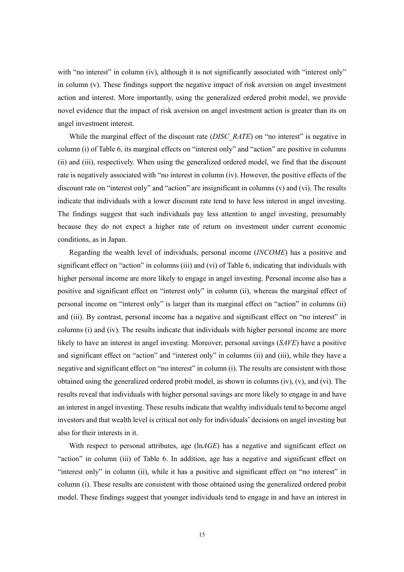with "no interest" in column (iv), although it is not significantly associated with "interest only" in column (v). These findings support the negative impact of risk aversion on angel investment action and interest. More importantly, using the generalized ordered probit model, we provide novel evidence that the impact of risk aversion on angel investment action is greater than its on angel investment interest.

While the marginal effect of the discount rate (*DISC\_RATE*) on "no interest" is negative in column (i) of Table 6, its marginal effects on "interest only" and "action" are positive in columns (ii) and (iii), respectively. When using the generalized ordered model, we find that the discount rate is negatively associated with "no interest in column (iv). However, the positive effects of the discount rate on "interest only" and "action" are insignificant in columns (v) and (vi). The results indicate that individuals with a lower discount rate tend to have less interest in angel investing. The findings suggest that such individuals pay less attention to angel investing, presumably because they do not expect a higher rate of return on investment under current economic conditions, as in Japan.

Regarding the wealth level of individuals, personal income (*INCOME*) has a positive and significant effect on "action" in columns (iii) and (vi) of Table 6, indicating that individuals with higher personal income are more likely to engage in angel investing. Personal income also has a positive and significant effect on "interest only" in column (ii), whereas the marginal effect of personal income on "interest only" is larger than its marginal effect on "action" in columns (ii) and (iii). By contrast, personal income has a negative and significant effect on "no interest" in columns (i) and (iv). The results indicate that individuals with higher personal income are more likely to have an interest in angel investing. Moreover, personal savings (*SAVE*) have a positive and significant effect on "action" and "interest only" in columns (ii) and (iii), while they have a negative and significant effect on "no interest" in column (i). The results are consistent with those obtained using the generalized ordered probit model, as shown in columns (iv), (v), and (vi). The results reveal that individuals with higher personal savings are more likely to engage in and have an interest in angel investing. These results indicate that wealthy individuals tend to become angel investors and that wealth level is critical not only for individuals' decisions on angel investing but also for their interests in it.

With respect to personal attributes, age ( $ln AGE$ ) has a negative and significant effect on "action" in column (iii) of Table 6. In addition, age has a negative and significant effect on "interest only" in column (ii), while it has a positive and significant effect on "no interest" in column (i). These results are consistent with those obtained using the generalized ordered probit model. These findings suggest that younger individuals tend to engage in and have an interest in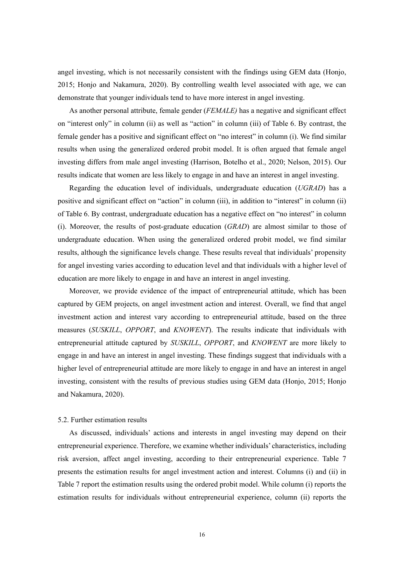angel investing, which is not necessarily consistent with the findings using GEM data (Honjo, 2015; Honjo and Nakamura, 2020). By controlling wealth level associated with age, we can demonstrate that younger individuals tend to have more interest in angel investing.

As another personal attribute, female gender (*FEMALE)* has a negative and significant effect on "interest only" in column (ii) as well as "action" in column (iii) of Table 6. By contrast, the female gender has a positive and significant effect on "no interest" in column (i). We find similar results when using the generalized ordered probit model. It is often argued that female angel investing differs from male angel investing (Harrison, Botelho et al., 2020; Nelson, 2015). Our results indicate that women are less likely to engage in and have an interest in angel investing.

Regarding the education level of individuals, undergraduate education (*UGRAD*) has a positive and significant effect on "action" in column (iii), in addition to "interest" in column (ii) of Table 6. By contrast, undergraduate education has a negative effect on "no interest" in column (i). Moreover, the results of post-graduate education (*GRAD*) are almost similar to those of undergraduate education. When using the generalized ordered probit model, we find similar results, although the significance levels change. These results reveal that individuals' propensity for angel investing varies according to education level and that individuals with a higher level of education are more likely to engage in and have an interest in angel investing.

Moreover, we provide evidence of the impact of entrepreneurial attitude, which has been captured by GEM projects, on angel investment action and interest. Overall, we find that angel investment action and interest vary according to entrepreneurial attitude, based on the three measures (*SUSKILL*, *OPPORT*, and *KNOWENT*). The results indicate that individuals with entrepreneurial attitude captured by *SUSKILL*, *OPPORT*, and *KNOWENT* are more likely to engage in and have an interest in angel investing. These findings suggest that individuals with a higher level of entrepreneurial attitude are more likely to engage in and have an interest in angel investing, consistent with the results of previous studies using GEM data (Honjo, 2015; Honjo and Nakamura, 2020).

## 5.2. Further estimation results

As discussed, individuals' actions and interests in angel investing may depend on their entrepreneurial experience. Therefore, we examine whether individuals' characteristics, including risk aversion, affect angel investing, according to their entrepreneurial experience. Table 7 presents the estimation results for angel investment action and interest. Columns (i) and (ii) in Table 7 report the estimation results using the ordered probit model. While column (i) reports the estimation results for individuals without entrepreneurial experience, column (ii) reports the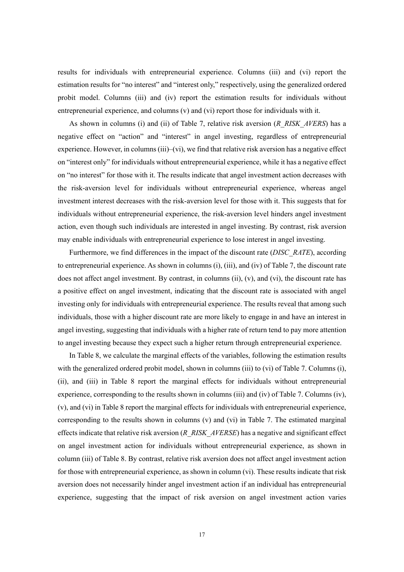results for individuals with entrepreneurial experience. Columns (iii) and (vi) report the estimation results for "no interest" and "interest only," respectively, using the generalized ordered probit model. Columns (iii) and (iv) report the estimation results for individuals without entrepreneurial experience, and columns (v) and (vi) report those for individuals with it.

As shown in columns (i) and (ii) of Table 7, relative risk aversion (*R\_RISK\_AVERS*) has a negative effect on "action" and "interest" in angel investing, regardless of entrepreneurial experience. However, in columns (iii)–(vi), we find that relative risk aversion has a negative effect on "interest only" for individuals without entrepreneurial experience, while it has a negative effect on "no interest" for those with it. The results indicate that angel investment action decreases with the risk-aversion level for individuals without entrepreneurial experience, whereas angel investment interest decreases with the risk-aversion level for those with it. This suggests that for individuals without entrepreneurial experience, the risk-aversion level hinders angel investment action, even though such individuals are interested in angel investing. By contrast, risk aversion may enable individuals with entrepreneurial experience to lose interest in angel investing.

Furthermore, we find differences in the impact of the discount rate (*DISC\_RATE*), according to entrepreneurial experience. As shown in columns (i), (iii), and (iv) of Table 7, the discount rate does not affect angel investment. By contrast, in columns (ii), (v), and (vi), the discount rate has a positive effect on angel investment, indicating that the discount rate is associated with angel investing only for individuals with entrepreneurial experience. The results reveal that among such individuals, those with a higher discount rate are more likely to engage in and have an interest in angel investing, suggesting that individuals with a higher rate of return tend to pay more attention to angel investing because they expect such a higher return through entrepreneurial experience.

In Table 8, we calculate the marginal effects of the variables, following the estimation results with the generalized ordered probit model, shown in columns (iii) to (vi) of Table 7. Columns (i), (ii), and (iii) in Table 8 report the marginal effects for individuals without entrepreneurial experience, corresponding to the results shown in columns (iii) and (iv) of Table 7. Columns (iv), (v), and (vi) in Table 8 report the marginal effects for individuals with entrepreneurial experience, corresponding to the results shown in columns  $(v)$  and  $(vi)$  in Table 7. The estimated marginal effects indicate that relative risk aversion (*R\_RISK\_AVERSE*) has a negative and significant effect on angel investment action for individuals without entrepreneurial experience, as shown in column (iii) of Table 8. By contrast, relative risk aversion does not affect angel investment action for those with entrepreneurial experience, as shown in column (vi). These results indicate that risk aversion does not necessarily hinder angel investment action if an individual has entrepreneurial experience, suggesting that the impact of risk aversion on angel investment action varies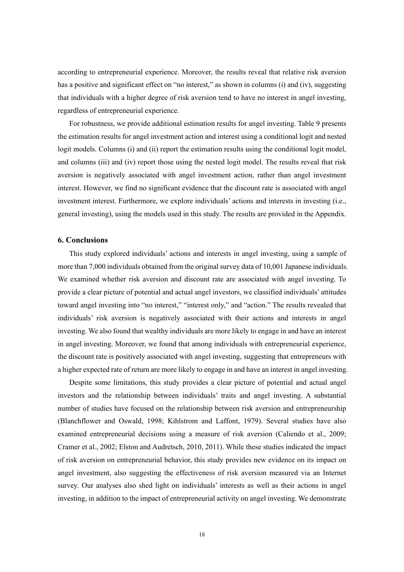according to entrepreneurial experience. Moreover, the results reveal that relative risk aversion has a positive and significant effect on "no interest," as shown in columns (i) and (iv), suggesting that individuals with a higher degree of risk aversion tend to have no interest in angel investing, regardless of entrepreneurial experience.

For robustness, we provide additional estimation results for angel investing. Table 9 presents the estimation results for angel investment action and interest using a conditional logit and nested logit models. Columns (i) and (ii) report the estimation results using the conditional logit model, and columns (iii) and (iv) report those using the nested logit model. The results reveal that risk aversion is negatively associated with angel investment action, rather than angel investment interest. However, we find no significant evidence that the discount rate is associated with angel investment interest. Furthermore, we explore individuals' actions and interests in investing (i.e., general investing), using the models used in this study. The results are provided in the Appendix.

#### **6. Conclusions**

This study explored individuals' actions and interests in angel investing, using a sample of more than 7,000 individuals obtained from the original survey data of 10,001 Japanese individuals. We examined whether risk aversion and discount rate are associated with angel investing. To provide a clear picture of potential and actual angel investors, we classified individuals' attitudes toward angel investing into "no interest," "interest only," and "action." The results revealed that individuals' risk aversion is negatively associated with their actions and interests in angel investing. We also found that wealthy individuals are more likely to engage in and have an interest in angel investing. Moreover, we found that among individuals with entrepreneurial experience, the discount rate is positively associated with angel investing, suggesting that entrepreneurs with a higher expected rate of return are more likely to engage in and have an interest in angel investing.

Despite some limitations, this study provides a clear picture of potential and actual angel investors and the relationship between individuals' traits and angel investing. A substantial number of studies have focused on the relationship between risk aversion and entrepreneurship (Blanchflower and Oswald, 1998; Kihlstrom and Laffont, 1979). Several studies have also examined entrepreneurial decisions using a measure of risk aversion (Caliendo et al., 2009; Cramer et al., 2002; Elston and Audretsch, 2010, 2011). While these studies indicated the impact of risk aversion on entrepreneurial behavior, this study provides new evidence on its impact on angel investment, also suggesting the effectiveness of risk aversion measured via an Internet survey. Our analyses also shed light on individuals' interests as well as their actions in angel investing, in addition to the impact of entrepreneurial activity on angel investing. We demonstrate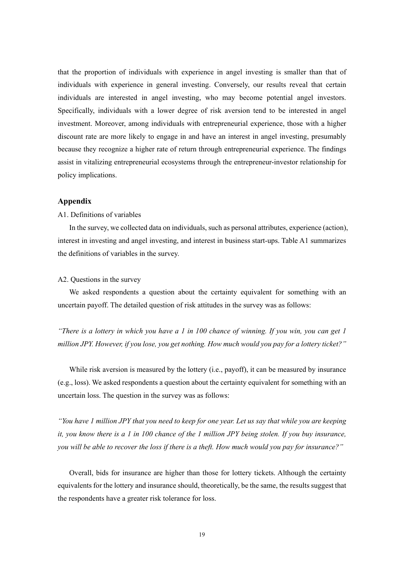that the proportion of individuals with experience in angel investing is smaller than that of individuals with experience in general investing. Conversely, our results reveal that certain individuals are interested in angel investing, who may become potential angel investors. Specifically, individuals with a lower degree of risk aversion tend to be interested in angel investment. Moreover, among individuals with entrepreneurial experience, those with a higher discount rate are more likely to engage in and have an interest in angel investing, presumably because they recognize a higher rate of return through entrepreneurial experience. The findings assist in vitalizing entrepreneurial ecosystems through the entrepreneur-investor relationship for policy implications.

## **Appendix**

## A1. Definitions of variables

In the survey, we collected data on individuals, such as personal attributes, experience (action), interest in investing and angel investing, and interest in business start-ups. Table A1 summarizes the definitions of variables in the survey.

#### A2. Questions in the survey

We asked respondents a question about the certainty equivalent for something with an uncertain payoff. The detailed question of risk attitudes in the survey was as follows:

*"There is a lottery in which you have a 1 in 100 chance of winning. If you win, you can get 1 million JPY. However, if you lose, you get nothing. How much would you pay for a lottery ticket?"*

While risk aversion is measured by the lottery (i.e., payoff), it can be measured by insurance (e.g., loss). We asked respondents a question about the certainty equivalent for something with an uncertain loss. The question in the survey was as follows:

*"You have 1 million JPY that you need to keep for one year. Let us say that while you are keeping it, you know there is a 1 in 100 chance of the 1 million JPY being stolen. If you buy insurance, you will be able to recover the loss if there is a theft. How much would you pay for insurance?"*

Overall, bids for insurance are higher than those for lottery tickets. Although the certainty equivalents for the lottery and insurance should, theoretically, be the same, the results suggest that the respondents have a greater risk tolerance for loss.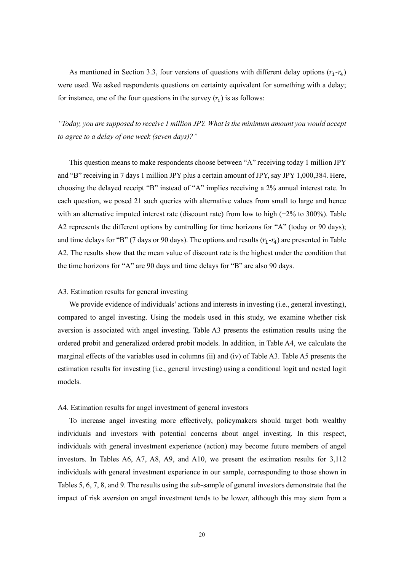As mentioned in Section 3.3, four versions of questions with different delay options  $(r_1-r_4)$ were used. We asked respondents questions on certainty equivalent for something with a delay; for instance, one of the four questions in the survey  $(r_1)$  is as follows:

*"Today, you are supposed to receive 1 million JPY. What is the minimum amount you would accept to agree to a delay of one week (seven days)?"*

This question means to make respondents choose between "A" receiving today 1 million JPY and "B" receiving in 7 days 1 million JPY plus a certain amount of JPY, say JPY 1,000,384. Here, choosing the delayed receipt "B" instead of "A" implies receiving a 2% annual interest rate. In each question, we posed 21 such queries with alternative values from small to large and hence with an alternative imputed interest rate (discount rate) from low to high (−2% to 300%). Table A2 represents the different options by controlling for time horizons for "A" (today or 90 days); and time delays for "B" (7 days or 90 days). The options and results  $(r_1-r_4)$  are presented in Table A2. The results show that the mean value of discount rate is the highest under the condition that the time horizons for "A" are 90 days and time delays for "B" are also 90 days.

#### A3. Estimation results for general investing

We provide evidence of individuals' actions and interests in investing (i.e., general investing), compared to angel investing. Using the models used in this study, we examine whether risk aversion is associated with angel investing. Table A3 presents the estimation results using the ordered probit and generalized ordered probit models. In addition, in Table A4, we calculate the marginal effects of the variables used in columns (ii) and (iv) of Table A3. Table A5 presents the estimation results for investing (i.e., general investing) using a conditional logit and nested logit models.

#### A4. Estimation results for angel investment of general investors

To increase angel investing more effectively, policymakers should target both wealthy individuals and investors with potential concerns about angel investing. In this respect, individuals with general investment experience (action) may become future members of angel investors. In Tables A6, A7, A8, A9, and A10, we present the estimation results for 3,112 individuals with general investment experience in our sample, corresponding to those shown in Tables 5, 6, 7, 8, and 9. The results using the sub-sample of general investors demonstrate that the impact of risk aversion on angel investment tends to be lower, although this may stem from a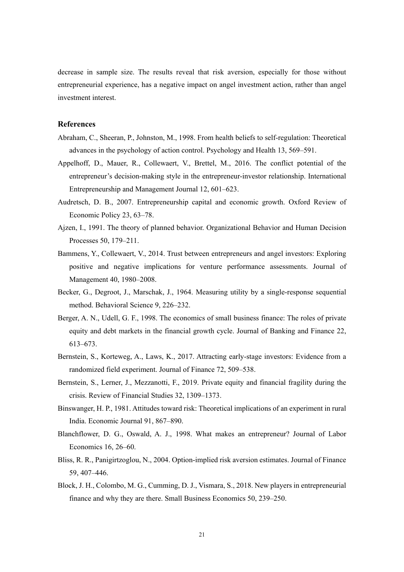decrease in sample size. The results reveal that risk aversion, especially for those without entrepreneurial experience, has a negative impact on angel investment action, rather than angel investment interest.

# **References**

- Abraham, C., Sheeran, P., Johnston, M., 1998. From health beliefs to self-regulation: Theoretical advances in the psychology of action control. Psychology and Health 13, 569–591.
- Appelhoff, D., Mauer, R., Collewaert, V., Brettel, M., 2016. The conflict potential of the entrepreneur's decision-making style in the entrepreneur-investor relationship. International Entrepreneurship and Management Journal 12, 601–623.
- Audretsch, D. B., 2007. Entrepreneurship capital and economic growth. Oxford Review of Economic Policy 23, 63–78.
- Ajzen, I., 1991. The theory of planned behavior. Organizational Behavior and Human Decision Processes 50, 179–211.
- Bammens, Y., Collewaert, V., 2014. Trust between entrepreneurs and angel investors: Exploring positive and negative implications for venture performance assessments. Journal of Management 40, 1980–2008.
- Becker, G., Degroot, J., Marschak, J., 1964. Measuring utility by a single-response sequential method. Behavioral Science 9, 226–232.
- Berger, A. N., Udell, G. F., 1998. The economics of small business finance: The roles of private equity and debt markets in the financial growth cycle. Journal of Banking and Finance 22, 613–673.
- Bernstein, S., Korteweg, A., Laws, K., 2017. Attracting early-stage investors: Evidence from a randomized field experiment. Journal of Finance 72, 509–538.
- Bernstein, S., Lerner, J., Mezzanotti, F., 2019. Private equity and financial fragility during the crisis. Review of Financial Studies 32, 1309–1373.
- Binswanger, H. P., 1981. Attitudes toward risk: Theoretical implications of an experiment in rural India. Economic Journal 91, 867–890.
- Blanchflower, D. G., Oswald, A. J., 1998. What makes an entrepreneur? Journal of Labor Economics 16, 26–60.
- Bliss, R. R., Panigirtzoglou, N., 2004. Option-implied risk aversion estimates. Journal of Finance 59, 407–446.
- Block, J. H., Colombo, M. G., Cumming, D. J., Vismara, S., 2018. New players in entrepreneurial finance and why they are there. Small Business Economics 50, 239–250.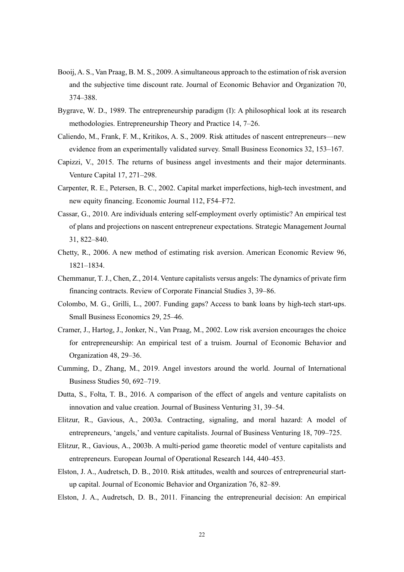- Booij, A. S., Van Praag, B. M. S., 2009. A simultaneous approach to the estimation of risk aversion and the subjective time discount rate. Journal of Economic Behavior and Organization 70, 374–388.
- Bygrave, W. D., 1989. The entrepreneurship paradigm (Ⅰ): A philosophical look at its research methodologies. Entrepreneurship Theory and Practice 14, 7–26.
- Caliendo, M., Frank, F. M., Kritikos, A. S., 2009. Risk attitudes of nascent entrepreneurs—new evidence from an experimentally validated survey. Small Business Economics 32, 153–167.
- Capizzi, V., 2015. The returns of business angel investments and their major determinants. Venture Capital 17, 271–298.
- Carpenter, R. E., Petersen, B. C., 2002. Capital market imperfections, high-tech investment, and new equity financing. Economic Journal 112, F54–F72.
- Cassar, G., 2010. Are individuals entering self-employment overly optimistic? An empirical test of plans and projections on nascent entrepreneur expectations. Strategic Management Journal 31, 822–840.
- Chetty, R., 2006. A new method of estimating risk aversion. American Economic Review 96, 1821–1834.
- Chemmanur, T. J., Chen, Z., 2014. Venture capitalists versus angels: The dynamics of private firm financing contracts. Review of Corporate Financial Studies 3, 39–86.
- Colombo, M. G., Grilli, L., 2007. Funding gaps? Access to bank loans by high-tech start-ups. Small Business Economics 29, 25–46.
- Cramer, J., Hartog, J., Jonker, N., Van Praag, M., 2002. Low risk aversion encourages the choice for entrepreneurship: An empirical test of a truism. Journal of Economic Behavior and Organization 48, 29–36.
- Cumming, D., Zhang, M., 2019. Angel investors around the world. Journal of International Business Studies 50, 692–719.
- Dutta, S., Folta, T. B., 2016. A comparison of the effect of angels and venture capitalists on innovation and value creation. Journal of Business Venturing 31, 39–54.
- Elitzur, R., Gavious, A., 2003a. Contracting, signaling, and moral hazard: A model of entrepreneurs, 'angels,' and venture capitalists. Journal of Business Venturing 18, 709–725.
- Elitzur, R., Gavious, A., 2003b. A multi-period game theoretic model of venture capitalists and entrepreneurs. European Journal of Operational Research 144, 440–453.
- Elston, J. A., Audretsch, D. B., 2010. Risk attitudes, wealth and sources of entrepreneurial startup capital. Journal of Economic Behavior and Organization 76, 82–89.
- Elston, J. A., Audretsch, D. B., 2011. Financing the entrepreneurial decision: An empirical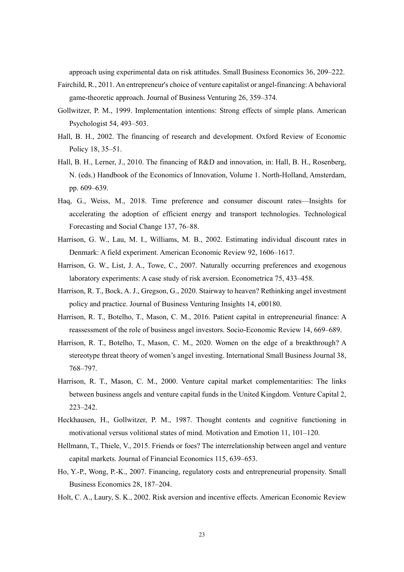approach using experimental data on risk attitudes. Small Business Economics 36, 209–222.

- Fairchild, R., 2011. An entrepreneur's choice of venture capitalist or angel-financing: A behavioral game-theoretic approach. Journal of Business Venturing 26, 359–374.
- Gollwitzer, P. M., 1999. Implementation intentions: Strong effects of simple plans. American Psychologist 54, 493–503.
- Hall, B. H., 2002. The financing of research and development. Oxford Review of Economic Policy 18, 35–51.
- Hall, B. H., Lerner, J., 2010. The financing of R&D and innovation, in: Hall, B. H., Rosenberg, N. (eds.) Handbook of the Economics of Innovation, Volume 1. North-Holland, Amsterdam, pp. 609–639.
- Haq, G., Weiss, M., 2018. Time preference and consumer discount rates—Insights for accelerating the adoption of efficient energy and transport technologies. Technological Forecasting and Social Change 137, 76–88.
- Harrison, G. W., Lau, M. I., Williams, M. B., 2002. Estimating individual discount rates in Denmark: A field experiment. American Economic Review 92, 1606–1617.
- Harrison, G. W., List, J. A., Towe, C., 2007. Naturally occurring preferences and exogenous laboratory experiments: A case study of risk aversion. Econometrica 75, 433–458.
- Harrison, R. T., Bock, A. J., Gregson, G., 2020. Stairway to heaven? Rethinking angel investment policy and practice. Journal of Business Venturing Insights 14, e00180.
- Harrison, R. T., Botelho, T., Mason, C. M., 2016. Patient capital in entrepreneurial finance: A reassessment of the role of business angel investors. Socio-Economic Review 14, 669–689.
- Harrison, R. T., Botelho, T., Mason, C. M., 2020. Women on the edge of a breakthrough? A stereotype threat theory of women's angel investing. International Small Business Journal 38, 768–797.
- Harrison, R. T., Mason, C. M., 2000. Venture capital market complementarities: The links between business angels and venture capital funds in the United Kingdom. Venture Capital 2, 223–242.
- Heckhausen, H., Gollwitzer, P. M., 1987. Thought contents and cognitive functioning in motivational versus volitional states of mind. Motivation and Emotion 11, 101–120.
- Hellmann, T., Thiele, V., 2015. Friends or foes? The interrelationship between angel and venture capital markets. Journal of Financial Economics 115, 639–653.
- Ho, Y.-P., Wong, P.-K., 2007. Financing, regulatory costs and entrepreneurial propensity. Small Business Economics 28, 187–204.
- Holt, C. A., Laury, S. K., 2002. Risk aversion and incentive effects. American Economic Review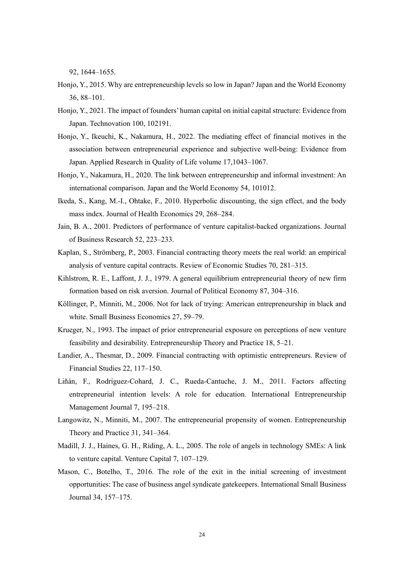92, 1644–1655.

- Honjo, Y., 2015. Why are entrepreneurship levels so low in Japan? Japan and the World Economy 36, 88–101.
- Honjo, Y., 2021. The impact of founders' human capital on initial capital structure: Evidence from Japan. Technovation 100, 102191.
- Honjo, Y., Ikeuchi, K., Nakamura, H., 2022. The mediating effect of financial motives in the association between entrepreneurial experience and subjective well-being: Evidence from Japan. Applied Research in Quality of Life volume 17,1043–1067.
- Honjo, Y., Nakamura, H., 2020. The link between entrepreneurship and informal investment: An international comparison. Japan and the World Economy 54, 101012.
- Ikeda, S., Kang, M.-I., Ohtake, F., 2010. Hyperbolic discounting, the sign effect, and the body mass index. Journal of Health Economics 29, 268–284.
- Jain, B. A., 2001. Predictors of performance of venture capitalist-backed organizations. Journal of Business Research 52, 223–233.
- Kaplan, S., Strömberg, P., 2003. Financial contracting theory meets the real world: an empirical analysis of venture capital contracts. Review of Economic Studies 70, 281–315.
- Kihlstrom, R. E., Laffont, J. J., 1979. A general equilibrium entrepreneurial theory of new firm formation based on risk aversion. Journal of Political Economy 87, 304–316.
- Köllinger, P., Minniti, M., 2006. Not for lack of trying: American entrepreneurship in black and white. Small Business Economics 27, 59–79.
- Krueger, N., 1993. The impact of prior entrepreneurial exposure on perceptions of new venture feasibility and desirability. Entrepreneurship Theory and Practice 18, 5–21.
- Landier, A., Thesmar, D., 2009. Financial contracting with optimistic entrepreneurs. Review of Financial Studies 22, 117–150.
- Liñán, F., Rodríguez-Cohard, J. C., Rueda-Cantuche, J. M., 2011. Factors affecting entrepreneurial intention levels: A role for education. International Entrepreneurship Management Journal 7, 195–218.
- Langowitz, N., Minniti, M., 2007. The entrepreneurial propensity of women. Entrepreneurship Theory and Practice 31, 341–364.
- Madill, J. J., Haines, G. H., Riding, A. L., 2005. The role of angels in technology SMEs: A link to venture capital. Venture Capital 7, 107–129.
- Mason, C., Botelho, T., 2016. The role of the exit in the initial screening of investment opportunities: The case of business angel syndicate gatekeepers. International Small Business Journal 34, 157–175.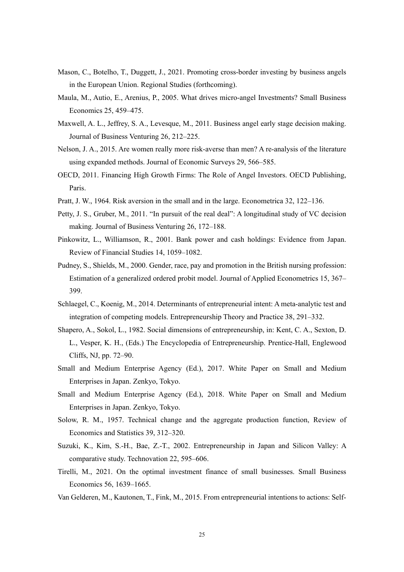- Mason, C., Botelho, T., Duggett, J., 2021. Promoting cross-border investing by business angels in the European Union. Regional Studies (forthcoming).
- Maula, M., Autio, E., Arenius, P., 2005. What drives micro-angel Investments? Small Business Economics 25, 459–475.
- Maxwell, A. L., Jeffrey, S. A., Levesque, M., 2011. Business angel early stage decision making. Journal of Business Venturing 26, 212–225.
- Nelson, J. A., 2015. Are women really more risk-averse than men? A re-analysis of the literature using expanded methods. Journal of Economic Surveys 29, 566–585.
- OECD, 2011. Financing High Growth Firms: The Role of Angel Investors. OECD Publishing, Paris.
- Pratt, J. W., 1964. Risk aversion in the small and in the large. Econometrica 32, 122–136.
- Petty, J. S., Gruber, M., 2011. "In pursuit of the real deal": A longitudinal study of VC decision making. Journal of Business Venturing 26, 172–188.
- Pinkowitz, L., Williamson, R., 2001. Bank power and cash holdings: Evidence from Japan. Review of Financial Studies 14, 1059–1082.
- Pudney, S., Shields, M., 2000. Gender, race, pay and promotion in the British nursing profession: Estimation of a generalized ordered probit model. Journal of Applied Econometrics 15, 367– 399.
- Schlaegel, C., Koenig, M., 2014. Determinants of entrepreneurial intent: A meta-analytic test and integration of competing models. Entrepreneurship Theory and Practice 38, 291–332.
- Shapero, A., Sokol, L., 1982. Social dimensions of entrepreneurship, in: Kent, C. A., Sexton, D. L., Vesper, K. H., (Eds.) The Encyclopedia of Entrepreneurship. Prentice-Hall, Englewood Cliffs, NJ, pp. 72–90.
- Small and Medium Enterprise Agency (Ed.), 2017. White Paper on Small and Medium Enterprises in Japan. Zenkyo, Tokyo.
- Small and Medium Enterprise Agency (Ed.), 2018. White Paper on Small and Medium Enterprises in Japan. Zenkyo, Tokyo.
- Solow, R. M., 1957. Technical change and the aggregate production function, Review of Economics and Statistics 39, 312–320.
- Suzuki, K., Kim, S.-H., Bae, Z.-T., 2002. Entrepreneurship in Japan and Silicon Valley: A comparative study. Technovation 22, 595–606.
- Tirelli, M., 2021. On the optimal investment finance of small businesses. Small Business Economics 56, 1639–1665.
- Van Gelderen, M., Kautonen, T., Fink, M., 2015. From entrepreneurial intentions to actions: Self-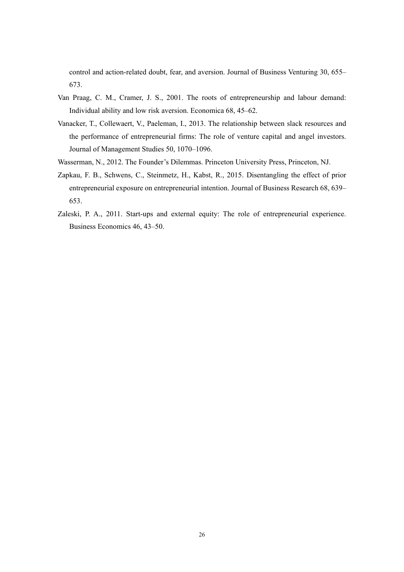control and action-related doubt, fear, and aversion. Journal of Business Venturing 30, 655– 673.

- Van Praag, C. M., Cramer, J. S., 2001. The roots of entrepreneurship and labour demand: Individual ability and low risk aversion. Economica 68, 45–62.
- Vanacker, T., Collewaert, V., Paeleman, I., 2013. The relationship between slack resources and the performance of entrepreneurial firms: The role of venture capital and angel investors. Journal of Management Studies 50, 1070–1096.
- Wasserman, N., 2012. The Founder's Dilemmas. Princeton University Press, Princeton, NJ.
- Zapkau, F. B., Schwens, C., Steinmetz, H., Kabst, R., 2015. Disentangling the effect of prior entrepreneurial exposure on entrepreneurial intention. Journal of Business Research 68, 639– 653.
- Zaleski, P. A., 2011. Start-ups and external equity: The role of entrepreneurial experience. Business Economics 46, 43–50.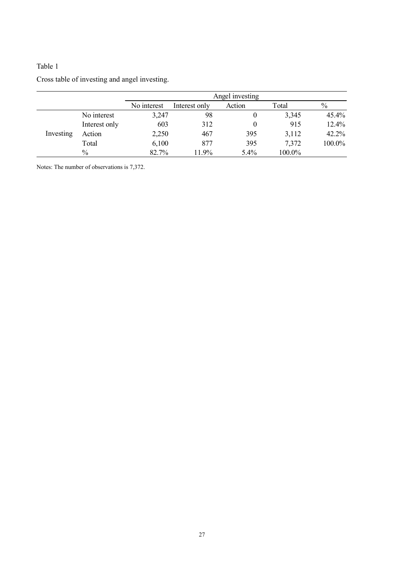|           |               |             |               | Angel investing |        |        |
|-----------|---------------|-------------|---------------|-----------------|--------|--------|
|           |               | No interest | Interest only | Action          | Total  | $\%$   |
|           | No interest   | 3,247       | 98            |                 | 3,345  | 45.4%  |
|           | Interest only | 603         | 312           |                 | 915    | 12.4%  |
| Investing | Action        | 2,250       | 467           | 395             | 3,112  | 42.2%  |
|           | Total         | 6,100       | 877           | 395             | 7,372  | 100.0% |
|           | $\%$          | 82.7%       | 11.9%         | 5.4%            | 100.0% |        |

Notes: The number of observations is 7,372.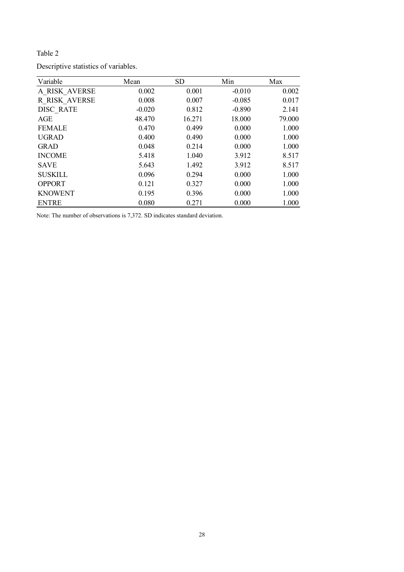| Variable         | Mean     | <b>SD</b> | Min      | Max    |
|------------------|----------|-----------|----------|--------|
| A RISK AVERSE    | 0.002    | 0.001     | $-0.010$ | 0.002  |
| R RISK AVERSE    | 0.008    | 0.007     | $-0.085$ | 0.017  |
| <b>DISC RATE</b> | $-0.020$ | 0.812     | $-0.890$ | 2.141  |
| AGE              | 48.470   | 16.271    | 18.000   | 79.000 |
| <b>FEMALE</b>    | 0.470    | 0.499     | 0.000    | 1.000  |
| <b>UGRAD</b>     | 0.400    | 0.490     | 0.000    | 1.000  |
| <b>GRAD</b>      | 0.048    | 0.214     | 0.000    | 1.000  |
| <b>INCOME</b>    | 5.418    | 1.040     | 3.912    | 8.517  |
| <b>SAVE</b>      | 5.643    | 1.492     | 3.912    | 8.517  |
| <b>SUSKILL</b>   | 0.096    | 0.294     | 0.000    | 1.000  |
| <b>OPPORT</b>    | 0.121    | 0.327     | 0.000    | 1.000  |
| <b>KNOWENT</b>   | 0.195    | 0.396     | 0.000    | 1.000  |
| <b>ENTRE</b>     | 0.080    | 0.271     | 0.000    | 1.000  |

Note: The number of observations is 7,372. SD indicates standard deviation.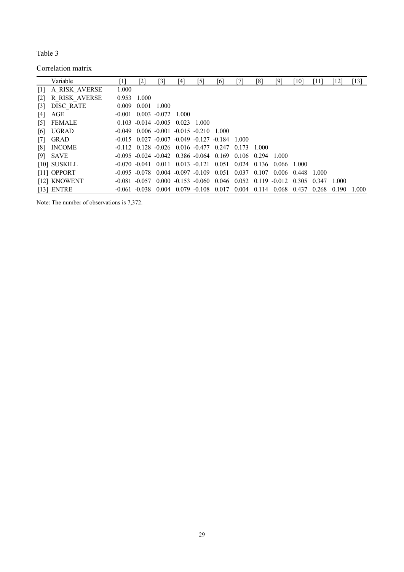Correlation matrix

|                   | Variable       | '11      | [2]              | [3]                     | [4]                                     | [5] | [6]                                                                                | [7] | [8]   | [9]         | [10]                  | '11]  | [12]  | $[13]$ |
|-------------------|----------------|----------|------------------|-------------------------|-----------------------------------------|-----|------------------------------------------------------------------------------------|-----|-------|-------------|-----------------------|-------|-------|--------|
| $\lceil 1 \rceil$ | A RISK AVERSE  | 1.000    |                  |                         |                                         |     |                                                                                    |     |       |             |                       |       |       |        |
| $\lceil 2 \rceil$ | R RISK AVERSE  |          | 0.953 1.000      |                         |                                         |     |                                                                                    |     |       |             |                       |       |       |        |
| $\lceil 3 \rceil$ | DISC RATE      | 0.009    |                  | $0.001$ 1.000           |                                         |     |                                                                                    |     |       |             |                       |       |       |        |
| [4]               | AGE            | $-0.001$ |                  | $0.003 - 0.072 - 1.000$ |                                         |     |                                                                                    |     |       |             |                       |       |       |        |
| $\lceil 5 \rceil$ | FEMALE         |          |                  |                         | $0.103 - 0.014 - 0.005$ $0.023$ 1.000   |     |                                                                                    |     |       |             |                       |       |       |        |
| [6]               | <b>UGRAD</b>   | -0.049   |                  |                         | $0.006 - 0.001 - 0.015 - 0.210 - 1.000$ |     |                                                                                    |     |       |             |                       |       |       |        |
| $\lceil 7 \rceil$ | <b>GRAD</b>    |          |                  |                         |                                         |     | $-0.015$ $0.027$ $-0.007$ $-0.049$ $-0.127$ $-0.184$ 1.000                         |     |       |             |                       |       |       |        |
| $\lceil 8 \rceil$ | <b>INCOME</b>  |          |                  |                         |                                         |     | $-0.112$ $0.128$ $-0.026$ $0.016$ $-0.477$ $0.247$ $0.173$                         |     | 1.000 |             |                       |       |       |        |
|                   | $[9]$ SAVE     |          |                  |                         |                                         |     | $-0.095$ $-0.024$ $-0.042$ $0.386$ $-0.064$ $0.169$ $0.106$ $0.294$ 1.000          |     |       |             |                       |       |       |        |
|                   | $[10]$ SUSKILL |          |                  |                         |                                         |     | $-0.070$ $-0.041$ $0.011$ $0.013$ $-0.121$ $0.051$ $0.024$ $0.136$ $0.066$ $1.000$ |     |       |             |                       |       |       |        |
|                   | $[11]$ OPPORT  |          |                  |                         |                                         |     | $-0.095$ $-0.078$ $0.004$ $-0.097$ $-0.109$ $0.051$ $0.037$ $0.107$                |     |       |             | $0.006$ $0.448$ 1.000 |       |       |        |
|                   | [12] KNOWENT   |          | $-0.081 - 0.057$ |                         |                                         |     | $0.000 - 0.153 - 0.060$ $0.046$ $0.052$ $0.119 - 0.012$ $0.305$                    |     |       |             |                       | 0.347 | 1.000 |        |
|                   | $[13]$ ENTRE   |          | $-0.061 - 0.038$ |                         |                                         |     | $0.004$ $0.079$ $-0.108$ $0.017$ $0.004$                                           |     |       | 0.114 0.068 | 0.437                 | 0.268 | 0.190 | 1.000  |

Note: The number of observations is 7,372.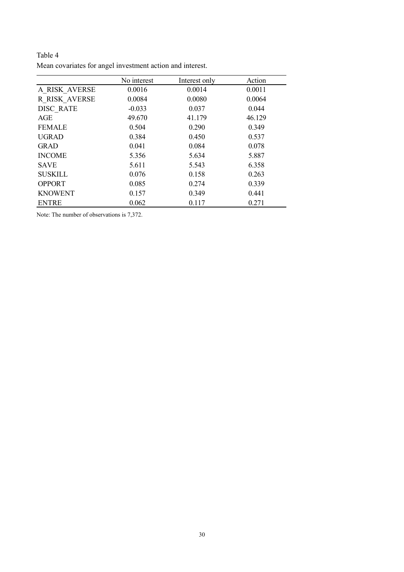|                  | No interest | Interest only | Action |
|------------------|-------------|---------------|--------|
| A RISK AVERSE    | 0.0016      | 0.0014        | 0.0011 |
| R RISK AVERSE    | 0.0084      | 0.0080        | 0.0064 |
| <b>DISC RATE</b> | $-0.033$    | 0.037         | 0.044  |
| AGE              | 49.670      | 41.179        | 46.129 |
| <b>FEMALE</b>    | 0.504       | 0.290         | 0.349  |
| <b>UGRAD</b>     | 0.384       | 0.450         | 0.537  |
| <b>GRAD</b>      | 0.041       | 0.084         | 0.078  |
| <b>INCOME</b>    | 5.356       | 5.634         | 5.887  |
| <b>SAVE</b>      | 5.611       | 5.543         | 6.358  |
| <b>SUSKILL</b>   | 0.076       | 0.158         | 0.263  |
| <b>OPPORT</b>    | 0.085       | 0.274         | 0.339  |
| <b>KNOWENT</b>   | 0.157       | 0.349         | 0.441  |
| <b>ENTRE</b>     | 0.062       | 0.117         | 0.271  |

Table 4 Mean covariates for angel investment action and interest.

Note: The number of observations is 7,372.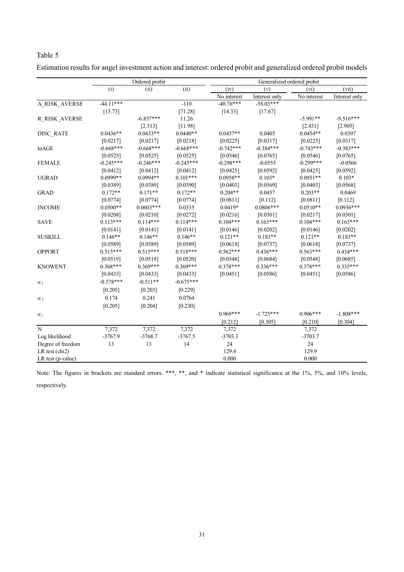|--|--|

|                                    |             | Ordered probit |             | Generalized ordered probit |               |             |               |  |
|------------------------------------|-------------|----------------|-------------|----------------------------|---------------|-------------|---------------|--|
|                                    | (i)         | (ii)           | (ii)        | (iv)                       | (v)           | (vi)        | (vii)         |  |
|                                    |             |                |             | No interest                | Interest only | No interest | Interest only |  |
| A RISK AVERSE                      | $-44.11***$ |                | $-110$      | $-40.76***$                | $-58.03***$   |             |               |  |
|                                    | [13.73]     |                | $[71.28]$   | [14.33]                    | $[17.67]$     |             |               |  |
| R RISK AVERSE                      |             | $-6.837***$    | 11.26       |                            |               | $-5.991**$  | $-9.516***$   |  |
|                                    |             | [2.313]        | [11.98]     |                            |               | [2.431]     | [2.905]       |  |
| DISC RATE                          | $0.0436**$  | $0.0433**$     | $0.0440**$  | $0.0457**$                 | 0.0405        | $0.0454**$  | 0.0397        |  |
|                                    | [0.0217]    | [0.0217]       | [0.0218]    | [0.0225]                   | [0.0317]      | [0.0225]    | [0.0317]      |  |
| lnAGE                              | $-0.668***$ | $-0.668***$    | $-0.668***$ | $-0.742***$                | $-0.384***$   | $-0.743***$ | $-0.383***$   |  |
|                                    | [0.0525]    | [0.0525]       | [0.0525]    | [0.0546]                   | [0.0765]      | [0.0546]    | [0.0765]      |  |
| <b>FEMALE</b>                      | $-0.245***$ | $-0.246***$    | $-0.245***$ | $-0.298***$                | $-0.0555$     | $-0.299***$ | $-0.0566$     |  |
|                                    | [0.0412]    | [0.0412]       | [0.0412]    | [0.0425]                   | [0.0592]      | [0.0425]    | [0.0592]      |  |
| <b>UGRAD</b>                       | $0.0999**$  | $0.0994**$     | $0.101***$  | $0.0958**$                 | $0.103*$      | $0.0951**$  | $0.103*$      |  |
|                                    | [0.0389]    | [0.0389]       | [0.0390]    | [0.0403]                   | [0.0569]      | [0.0403]    | [0.0568]      |  |
| <b>GRAD</b>                        | $0.172**$   | $0.171**$      | $0.172**$   | $0.204**$                  | 0.0457        | $0.203**$   | 0.0469        |  |
|                                    | [0.0774]    | [0.0774]       | [0.0774]    | [0.0811]                   | [0.112]       | [0.0811]    | $[0.112]$     |  |
| <b>INCOME</b>                      | $0.0500**$  | $0.0603***$    | 0.0335      | $0.0419*$                  | $0.0806***$   | $0.0510**$  | $0.0936***$   |  |
|                                    | [0.0208]    | [0.0210]       | $[0.0272]$  | [0.0216]                   | [0.0301]      | [0.0217]    | [0.0301]      |  |
| <b>SAVE</b>                        | $0.113***$  | $0.114***$     | $0.114***$  | $0.104***$                 | $0.163***$    | $0.104***$  | $0.163***$    |  |
|                                    | [0.0141]    | [0.0141]       | [0.0141]    | [0.0146]                   | [0.0202]      | [0.0146]    | [0.0202]      |  |
| <b>SUSKILL</b>                     | $0.146**$   | $0.146**$      | $0.146**$   | $0.121**$                  | $0.183**$     | $0.121**$   | $0.183**$     |  |
|                                    | [0.0589]    | [0.0589]       | [0.0589]    | [0.0618]                   | [0.0737]      | [0.0618]    | [0.0737]      |  |
| <b>OPPORT</b>                      | $0.515***$  | $0.515***$     | $0.518***$  | $0.562***$                 | $0.436***$    | $0.563***$  | $0.434***$    |  |
|                                    | [0.0519]    | [0.0519]       | [0.0520]    | [0.0548]                   | [0.0684]      | [0.0548]    | [0.0685]      |  |
| <b>KNOWENT</b>                     | $0.368***$  | $0.369***$     | $0.369***$  | $0.378***$                 | $0.336***$    | $0.378***$  | $0.335***$    |  |
|                                    | [0.0433]    | [0.0433]       | [0.0433]    | [0.0451]                   | [0.0586]      | [0.0451]    | [0.0586]      |  |
| $\alpha_1$                         | $-0.578***$ | $-0.511**$     | $-0.675***$ |                            |               |             |               |  |
|                                    | [0.205]     | [0.203]        | $[0.229]$   |                            |               |             |               |  |
| $\alpha_2$                         | 0.174       | 0.241          | 0.0764      |                            |               |             |               |  |
|                                    | $[0.205]$   | [0.204]        | [0.230]     |                            |               |             |               |  |
|                                    |             |                |             | $0.969***$                 | $-1.725***$   | $0.906***$  | $-1.808***$   |  |
| $\alpha_j$                         |             |                |             | [0.212]                    | [0.305]       | [0.210]     | [0.304]       |  |
| N                                  | 7,372       | 7,372          | 7,372       | 7,372                      |               | 7,372       |               |  |
| Log likelihood                     | $-3767.9$   | $-3768.7$      | $-3767.5$   | $-3703.3$                  |               | $-3703.7$   |               |  |
| Degree of freedom                  | 13          | 13             | 14          | 24                         |               | 24          |               |  |
| LR test $\left(\text{chi2}\right)$ |             |                |             | 129.4                      |               | 129.9       |               |  |
| LR test (p-value)                  |             |                |             | 0.000                      |               | 0.000       |               |  |

Estimation results for angel investment action and interest: ordered probit and generalized ordered probit models

Note: The figures in brackets are standard errors. \*\*\*, \*\*, and \* indicate statistical significance at the 1%, 5%, and 10% levels, respectively.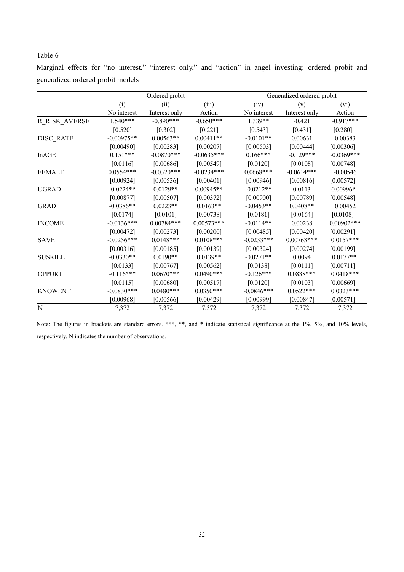|                                   |  |  |  |  |  | Marginal effects for "no interest," "interest only," and "action" in angel investing: ordered probit and |  |  |
|-----------------------------------|--|--|--|--|--|----------------------------------------------------------------------------------------------------------|--|--|
| generalized ordered probit models |  |  |  |  |  |                                                                                                          |  |  |

|                      |              | Ordered probit |              |              | Generalized ordered probit |               |
|----------------------|--------------|----------------|--------------|--------------|----------------------------|---------------|
|                      | (i)          | (ii)           | (iii)        | (iv)         | (v)                        | (vi)          |
|                      | No interest  | Interest only  | Action       | No interest  | Interest only              | Action        |
| <b>R_RISK_AVERSE</b> | $1.540***$   | $-0.890***$    | $-0.650***$  | $1.339**$    | $-0.421$                   | $-0.917***$   |
|                      | [0.520]      | $[0.302]$      | $[0.221]$    | [0.543]      | $[0.431]$                  | $[0.280]$     |
| DISC RATE            | $-0.00975**$ | $0.00563**$    | $0.00411**$  | $-0.0101**$  | 0.00631                    | 0.00383       |
|                      | [0.00490]    | [0.00283]      | [0.00207]    | [0.00503]    | [0.00444]                  | [0.00306]     |
| lnAGE                | $0.151***$   | $-0.0870***$   | $-0.0635***$ | $0.166***$   | $-0.129***$                | $-0.0369***$  |
|                      | [0.0116]     | [0.00686]      | [0.00549]    | [0.0120]     | [0.0108]                   | [0.00748]     |
| <b>FEMALE</b>        | $0.0554***$  | $-0.0320***$   | $-0.0234***$ | $0.0668***$  | $-0.0614***$               | $-0.00546$    |
|                      | [0.00924]    | [0.00536]      | [0.00401]    | [0.00946]    | [0.00816]                  | [0.00572]     |
| <b>UGRAD</b>         | $-0.0224**$  | $0.0129**$     | $0.00945**$  | $-0.0212**$  | 0.0113                     | $0.00996*$    |
|                      | [0.00877]    | [0.00507]      | [0.00372]    | [0.00900]    | [0.00789]                  | [0.00548]     |
| <b>GRAD</b>          | $-0.0386**$  | $0.0223**$     | $0.0163**$   | $-0.0453**$  | $0.0408**$                 | 0.00452       |
|                      | [0.0174]     | [0.0101]       | [0.00738]    | [0.0181]     | [0.0164]                   | [0.0108]      |
| <b>INCOME</b>        | $-0.0136***$ | $0.00784***$   | $0.00573***$ | $-0.0114**$  | 0.00238                    | $0.00902$ *** |
|                      | [0.00472]    | [0.00273]      | [0.00200]    | [0.00485]    | [0.00420]                  | [0.00291]     |
| <b>SAVE</b>          | $-0.0256***$ | $0.0148***$    | $0.0108***$  | $-0.0233***$ | $0.00763***$               | $0.0157***$   |
|                      | [0.00316]    | [0.00185]      | [0.00139]    | [0.00324]    | [0.00274]                  | [0.00199]     |
| <b>SUSKILL</b>       | $-0.0330**$  | $0.0190**$     | $0.0139**$   | $-0.0271**$  | 0.0094                     | $0.0177**$    |
|                      | [0.0133]     | [0.00767]      | [0.00562]    | [0.0138]     | [0.0111]                   | [0.00711]     |
| <b>OPPORT</b>        | $-0.116***$  | $0.0670***$    | $0.0490***$  | $-0.126***$  | $0.0838***$                | $0.0418***$   |
|                      | [0.0115]     | [0.00680]      | [0.00517]    | [0.0120]     | [0.0103]                   | [0.00669]     |
| <b>KNOWENT</b>       | $-0.0830***$ | $0.0480***$    | $0.0350***$  | $-0.0846***$ | $0.0522***$                | $0.0323***$   |
|                      | [0.00968]    | [0.00566]      | [0.00429]    | [0.00999]    | [0.00847]                  | [0.00571]     |
| $\mathbf N$          | 7,372        | 7,372          | 7,372        | 7,372        | 7,372                      | 7,372         |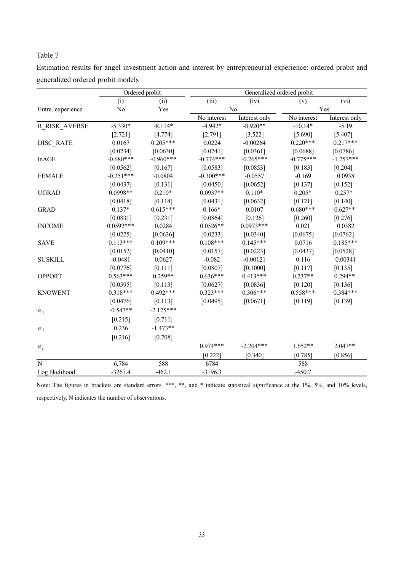| Estimation results for angel investment action and interest by entrepreneurial experience: ordered probit and |  |  |  |
|---------------------------------------------------------------------------------------------------------------|--|--|--|
| generalized ordered probit models                                                                             |  |  |  |

|                   |             | Ordered probit | Generalized ordered probit |               |             |               |  |  |
|-------------------|-------------|----------------|----------------------------|---------------|-------------|---------------|--|--|
|                   | (i)         | (ii)           | (iii)                      | (iv)          | (v)         | (vi)          |  |  |
| Entre. experience | No          | Yes            |                            | No            |             | Yes           |  |  |
|                   |             |                | No interest                | Interest only | No interest | Interest only |  |  |
| R RISK AVERSE     | $-5.330*$   | $-8.114*$      | $-4.942*$                  | $-8.920**$    | $-10.14*$   | $-5.19$       |  |  |
|                   | [2.721]     | [4.774]        | [2.791]                    | [3.522]       | [5.690]     | [5.407]       |  |  |
| DISC RATE         | 0.0167      | $0.205***$     | 0.0224                     | $-0.00264$    | $0.220***$  | $0.217***$    |  |  |
|                   | [0.0234]    | [0.0630]       | [0.0241]                   | [0.0361]      | [0.0688]    | [0.0786]      |  |  |
| lnAGE             | $-0.680***$ | $-0.960***$    | $-0.774***$                | $-0.265***$   | $-0.775***$ | $-1.257***$   |  |  |
|                   | [0.0562]    | [0.167]        | [0.0583]                   | [0.0853]      | [0.183]     | [0.204]       |  |  |
| <b>FEMALE</b>     | $-0.251***$ | $-0.0804$      | $-0.300***$                | $-0.0557$     | $-0.169$    | 0.0938        |  |  |
|                   | [0.0437]    | [0.131]        | [0.0450]                   | [0.0652]      | [0.137]     | [0.152]       |  |  |
| <b>UGRAD</b>      | $0.0998**$  | $0.210*$       | $0.0937**$                 | $0.110*$      | $0.205*$    | $0.257*$      |  |  |
|                   | [0.0418]    | [0.114]        | [0.0431]                   | [0.0632]      | [0.121]     | [0.140]       |  |  |
| <b>GRAD</b>       | $0.137*$    | $0.615***$     | $0.166*$                   | 0.0107        | $0.680***$  | $0.627**$     |  |  |
|                   | [0.0831]    | [0.231]        | [0.0864]                   | [0.126]       | [0.260]     | [0.276]       |  |  |
| <b>INCOME</b>     | $0.0592***$ | 0.0284         | $0.0526**$                 | $0.0973***$   | 0.021       | 0.0382        |  |  |
|                   | [0.0225]    | [0.0636]       | [0.0233]                   | [0.0340]      | [0.0675]    | [0.0762]      |  |  |
| <b>SAVE</b>       | $0.113***$  | $0.109***$     | $0.108***$                 | $0.145***$    | 0.0716      | $0.185***$    |  |  |
|                   | [0.0152]    | [0.0410]       | [0.0157]                   | [0.0223]      | [0.0437]    | [0.0528]      |  |  |
| <b>SUSKILL</b>    | $-0.0481$   | 0.0627         | $-0.082$                   | $-0.00121$    | 0.116       | 0.00341       |  |  |
|                   | [0.0776]    | [0.111]        | [0.0807]                   | [0.1000]      | [0.117]     | [0.135]       |  |  |
| <b>OPPORT</b>     | $0.563***$  | $0.259**$      | $0.636***$                 | $0.413***$    | $0.237**$   | $0.294**$     |  |  |
|                   | [0.0595]    | [0.113]        | [0.0627]                   | [0.0836]      | [0.120]     | [0.136]       |  |  |
| <b>KNOWENT</b>    | $0.318***$  | $0.492***$     | $0.323***$                 | $0.306***$    | $0.558***$  | $0.384***$    |  |  |
|                   | [0.0476]    | [0.113]        | [0.0495]                   | [0.0671]      | [0.119]     | [0.139]       |  |  |
| $\alpha_1$        | $-0.547**$  | $-2.125***$    |                            |               |             |               |  |  |
|                   | [0.215]     | [0.711]        |                            |               |             |               |  |  |
| $\alpha_2$        | 0.236       | $-1.473**$     |                            |               |             |               |  |  |
|                   | [0.216]     | [0.708]        |                            |               |             |               |  |  |
| $\alpha_i$        |             |                | $0.974***$                 | $-2.204***$   | $1.652**$   | $2.047**$     |  |  |
|                   |             |                | [0.222]                    | [0.340]       | [0.785]     | [0.856]       |  |  |
| N                 | 6,784       | 588            | 6784                       |               | 588         |               |  |  |
| Log likelihood    | $-3267.4$   | $-462.1$       | $-3196.3$                  |               | $-450.7$    |               |  |  |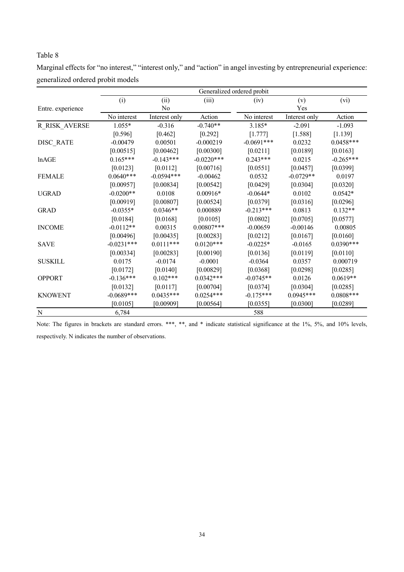| Marginal effects for "no interest," "interest only," and "action" in angel investing by entrepreneurial experience: |  |  |
|---------------------------------------------------------------------------------------------------------------------|--|--|
| generalized ordered probit models                                                                                   |  |  |

|                   | Generalized ordered probit |               |              |              |               |             |  |
|-------------------|----------------------------|---------------|--------------|--------------|---------------|-------------|--|
|                   | (i)                        | (ii)          | (iii)        | (iv)         | (v)           | (vi)        |  |
| Entre. experience |                            | No            |              |              | Yes           |             |  |
|                   | No interest                | Interest only | Action       | No interest  | Interest only | Action      |  |
| R RISK AVERSE     | $1.055*$                   | $-0.316$      | $-0.740**$   | $3.185*$     | $-2.091$      | $-1.093$    |  |
|                   | [0.596]                    | $[0.462]$     | $[0.292]$    | [1.777]      | [1.588]       | [1.139]     |  |
| DISC RATE         | $-0.00479$                 | 0.00501       | $-0.000219$  | $-0.0691***$ | 0.0232        | $0.0458***$ |  |
|                   | [0.00515]                  | [0.00462]     | [0.00300]    | [0.0211]     | [0.0189]      | [0.0163]    |  |
| lnAGE             | $0.165***$                 | $-0.143***$   | $-0.0220***$ | $0.243***$   | 0.0215        | $-0.265***$ |  |
|                   | [0.0123]                   | [0.0112]      | [0.00716]    | [0.0551]     | [0.0457]      | [0.0399]    |  |
| <b>FEMALE</b>     | $0.0640***$                | $-0.0594***$  | $-0.00462$   | 0.0532       | $-0.0729**$   | 0.0197      |  |
|                   | [0.00957]                  | [0.00834]     | [0.00542]    | [0.0429]     | [0.0304]      | [0.0320]    |  |
| <b>UGRAD</b>      | $-0.0200**$                | 0.0108        | $0.00916*$   | $-0.0644*$   | 0.0102        | $0.0542*$   |  |
|                   | [0.00919]                  | [0.00807]     | [0.00524]    | [0.0379]     | [0.0316]      | [0.0296]    |  |
| <b>GRAD</b>       | $-0.0355*$                 | $0.0346**$    | 0.000889     | $-0.213***$  | 0.0813        | $0.132**$   |  |
|                   | [0.0184]                   | [0.0168]      | [0.0105]     | [0.0802]     | [0.0705]      | [0.0577]    |  |
| <b>INCOME</b>     | $-0.0112**$                | 0.00315       | $0.00807***$ | $-0.00659$   | $-0.00146$    | 0.00805     |  |
|                   | [0.00496]                  | [0.00435]     | [0.00283]    | [0.0212]     | [0.0167]      | [0.0160]    |  |
| <b>SAVE</b>       | $-0.0231***$               | $0.0111***$   | $0.0120***$  | $-0.0225*$   | $-0.0165$     | $0.0390***$ |  |
|                   | [0.00334]                  | [0.00283]     | [0.00190]    | [0.0136]     | [0.0119]      | [0.0110]    |  |
| <b>SUSKILL</b>    | 0.0175                     | $-0.0174$     | $-0.0001$    | $-0.0364$    | 0.0357        | 0.000719    |  |
|                   | [0.0172]                   | [0.0140]      | [0.00829]    | [0.0368]     | [0.0298]      | [0.0285]    |  |
| <b>OPPORT</b>     | $-0.136***$                | $0.102***$    | $0.0342***$  | $-0.0745**$  | 0.0126        | $0.0619**$  |  |
|                   | [0.0132]                   | [0.0117]      | [0.00704]    | [0.0374]     | [0.0304]      | [0.0285]    |  |
| <b>KNOWENT</b>    | $-0.0689***$               | $0.0435***$   | $0.0254***$  | $-0.175***$  | $0.0945***$   | $0.0808***$ |  |
|                   | [0.0105]                   | [0.00909]     | [0.00564]    | [0.0355]     | [0.0300]      | [0.0289]    |  |
| N                 | 6,784                      |               |              | 588          |               |             |  |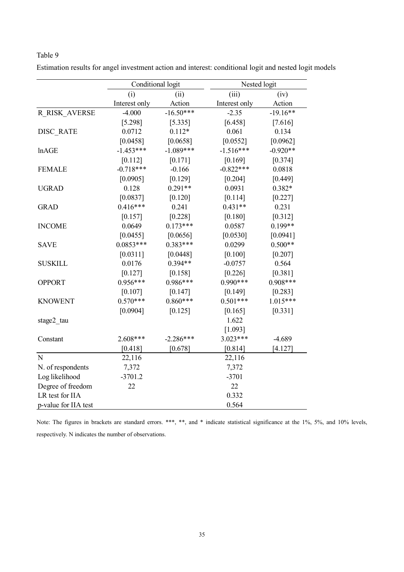|                      | Conditional logit |             |               | Nested logit |  |  |
|----------------------|-------------------|-------------|---------------|--------------|--|--|
|                      | (i)               | (ii)        | (iii)         | (iv)         |  |  |
|                      | Interest only     | Action      | Interest only | Action       |  |  |
| R RISK AVERSE        | $-4.000$          | $-16.50***$ | $-2.35$       | $-19.16**$   |  |  |
|                      | [5.298]           | [5.335]     | [6.458]       | [7.616]      |  |  |
| <b>DISC RATE</b>     | 0.0712            | $0.112*$    | 0.061         | 0.134        |  |  |
|                      | [0.0458]          | [0.0658]    | [0.0552]      | [0.0962]     |  |  |
| lnAGE                | $-1.453***$       | $-1.089***$ | $-1.516***$   | $-0.920**$   |  |  |
|                      | [0.112]           | [0.171]     | [0.169]       | [0.374]      |  |  |
| <b>FEMALE</b>        | $-0.718***$       | $-0.166$    | $-0.822***$   | 0.0818       |  |  |
|                      | [0.0905]          | [0.129]     | [0.204]       | [0.449]      |  |  |
| <b>UGRAD</b>         | 0.128             | $0.291**$   | 0.0931        | $0.382*$     |  |  |
|                      | [0.0837]          | [0.120]     | [0.114]       | [0.227]      |  |  |
| <b>GRAD</b>          | $0.416***$        | 0.241       | $0.431**$     | 0.231        |  |  |
|                      | [0.157]           | [0.228]     | [0.180]       | [0.312]      |  |  |
| <b>INCOME</b>        | 0.0649            | $0.173***$  | 0.0587        | $0.199**$    |  |  |
|                      | [0.0455]          | [0.0656]    | [0.0530]      | [0.0941]     |  |  |
| <b>SAVE</b>          | $0.0853***$       | $0.383***$  | 0.0299        | $0.500**$    |  |  |
|                      | [0.0311]          | [0.0448]    | [0.100]       | [0.207]      |  |  |
| <b>SUSKILL</b>       | 0.0176            | $0.394**$   | $-0.0757$     | 0.564        |  |  |
|                      | [0.127]           | [0.158]     | [0.226]       | [0.381]      |  |  |
| <b>OPPORT</b>        | $0.956***$        | 0.986***    | $0.990***$    | $0.908***$   |  |  |
|                      | [0.107]           | [0.147]     | [0.149]       | [0.283]      |  |  |
| <b>KNOWENT</b>       | $0.570***$        | $0.860***$  | $0.501***$    | $1.015***$   |  |  |
|                      | [0.0904]          | [0.125]     | [0.165]       | $[0.331]$    |  |  |
| stage2 tau           |                   |             | 1.622         |              |  |  |
|                      |                   |             | [1.093]       |              |  |  |
| Constant             | 2.608***          | $-2.286***$ | $3.023***$    | $-4.689$     |  |  |
|                      | [0.418]           | [0.678]     | [0.814]       | [4.127]      |  |  |
| N                    | 22,116            |             | 22,116        |              |  |  |
| N. of respondents    | 7,372             |             | 7,372         |              |  |  |
| Log likelihood       | $-3701.2$         |             | $-3701$       |              |  |  |
| Degree of freedom    | 22                |             | 22            |              |  |  |
| LR test for IIA      |                   |             | 0.332         |              |  |  |
| p-value for IIA test |                   |             | 0.564         |              |  |  |

Estimation results for angel investment action and interest: conditional logit and nested logit models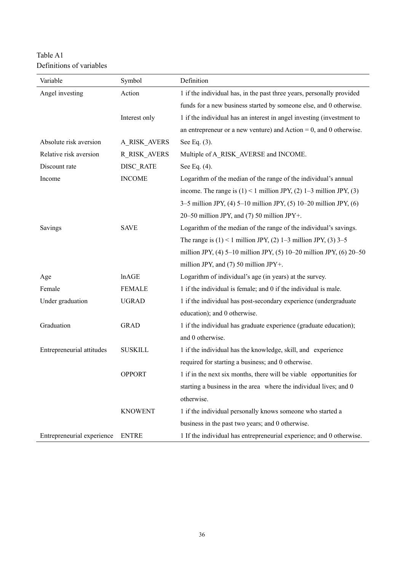| Table A1                 |
|--------------------------|
| Definitions of variables |

| Variable                   | Symbol              | Definition                                                               |
|----------------------------|---------------------|--------------------------------------------------------------------------|
| Angel investing            | Action              | 1 if the individual has, in the past three years, personally provided    |
|                            |                     | funds for a new business started by someone else, and 0 otherwise.       |
|                            | Interest only       | 1 if the individual has an interest in angel investing (investment to    |
|                            |                     | an entrepreneur or a new venture) and $Action = 0$ , and 0 otherwise.    |
| Absolute risk aversion     | <b>A_RISK_AVERS</b> | See Eq. (3).                                                             |
| Relative risk aversion     | R RISK AVERS        | Multiple of A RISK AVERSE and INCOME.                                    |
| Discount rate              | DISC RATE           | See Eq. (4).                                                             |
| Income                     | <b>INCOME</b>       | Logarithm of the median of the range of the individual's annual          |
|                            |                     | income. The range is $(1) < 1$ million JPY, $(2)$ 1–3 million JPY, $(3)$ |
|                            |                     | 3–5 million JPY, (4) 5–10 million JPY, (5) 10–20 million JPY, (6)        |
|                            |                     | 20–50 million JPY, and (7) 50 million JPY+.                              |
| Savings                    | <b>SAVE</b>         | Logarithm of the median of the range of the individual's savings.        |
|                            |                     | The range is $(1)$ < 1 million JPY, $(2)$ 1–3 million JPY, $(3)$ 3–5     |
|                            |                     | million JPY, (4) 5-10 million JPY, (5) 10-20 million JPY, (6) 20-50      |
|                            |                     | million JPY, and $(7)$ 50 million JPY+.                                  |
| Age                        | lnAGE               | Logarithm of individual's age (in years) at the survey.                  |
| Female                     | <b>FEMALE</b>       | 1 if the individual is female; and 0 if the individual is male.          |
| Under graduation           | <b>UGRAD</b>        | 1 if the individual has post-secondary experience (undergraduate         |
|                            |                     | education); and 0 otherwise.                                             |
| Graduation                 | <b>GRAD</b>         | 1 if the individual has graduate experience (graduate education);        |
|                            |                     | and 0 otherwise.                                                         |
| Entrepreneurial attitudes  | <b>SUSKILL</b>      | 1 if the individual has the knowledge, skill, and experience             |
|                            |                     | required for starting a business; and 0 otherwise.                       |
|                            | <b>OPPORT</b>       | 1 if in the next six months, there will be viable opportunities for      |
|                            |                     | starting a business in the area where the individual lives; and 0        |
|                            |                     | otherwise.                                                               |
|                            | <b>KNOWENT</b>      | 1 if the individual personally knows someone who started a               |
|                            |                     | business in the past two years; and 0 otherwise.                         |
| Entrepreneurial experience | <b>ENTRE</b>        | 1 If the individual has entrepreneurial experience; and 0 otherwise.     |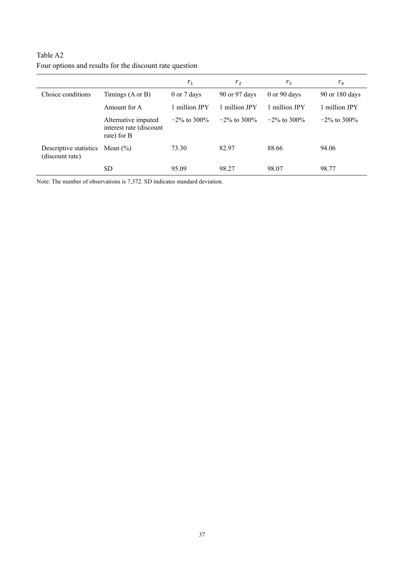|                                           |                                                               | $r_1$           | r <sub>2</sub>  | $r_3$            | $r_4$           |
|-------------------------------------------|---------------------------------------------------------------|-----------------|-----------------|------------------|-----------------|
| Choice conditions                         | Timings $(A \text{ or } B)$                                   | 0 or 7 days     | 90 or 97 days   | $0$ or $90$ days | 90 or 180 days  |
|                                           | Amount for A                                                  | 1 million JPY   | 1 million JPY   | 1 million JPY    | 1 million JPY   |
|                                           | Alternative imputed<br>interest rate (discount<br>rate) for B | $-2\%$ to 300\% | $-2\%$ to 300\% | $-2\%$ to 300\%  | $-2\%$ to 300\% |
| Descriptive statistics<br>(discount rate) | Mean $(\% )$                                                  | 73.30           | 82.97           | 88.66            | 94.06           |
|                                           | <b>SD</b>                                                     | 95.09           | 98.27           | 98.07            | 98.77           |

# Table A2 Four options and results for the discount rate question

Note: The number of observations is 7,372. SD indicates standard deviation.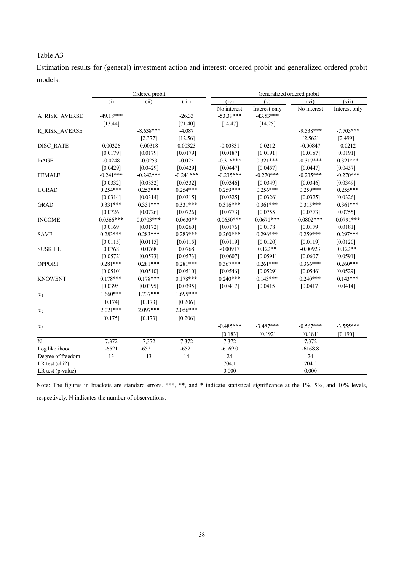Estimation results for (general) investment action and interest: ordered probit and generalized ordered probit models.

|                      |             | Ordered probit | Generalized ordered probit |             |               |             |               |
|----------------------|-------------|----------------|----------------------------|-------------|---------------|-------------|---------------|
|                      | (i)         | (ii)           | (iii)                      | (iv)        | (v)           | (vi)        | (vii)         |
|                      |             |                |                            | No interest | Interest only | No interest | Interest only |
| A_RISK_AVERSE        | $-49.18***$ |                | $-26.33$                   | $-53.39***$ | $-43.53***$   |             |               |
|                      | [13.44]     |                | $[71.40]$                  | $[14.47]$   | [14.25]       |             |               |
| <b>R_RISK_AVERSE</b> |             | $-8.638***$    | $-4.087$                   |             |               | $-9.538***$ | $-7.703***$   |
|                      |             | [2.377]        | [12.56]                    |             |               | [2.562]     | [2.499]       |
| DISC RATE            | 0.00326     | 0.00318        | 0.00323                    | $-0.00831$  | 0.0212        | $-0.00847$  | 0.0212        |
|                      | [0.0179]    | [0.0179]       | [0.0179]                   | [0.0187]    | [0.0191]      | [0.0187]    | [0.0191]      |
| lnAGE                | $-0.0248$   | $-0.0253$      | $-0.025$                   | $-0.316***$ | $0.321***$    | $-0.317***$ | $0.321***$    |
|                      | [0.0429]    | [0.0429]       | [0.0429]                   | [0.0447]    | [0.0457]      | [0.0447]    | [0.0457]      |
| <b>FEMALE</b>        | $-0.241***$ | $-0.242***$    | $-0.241***$                | $-0.235***$ | $-0.270***$   | $-0.235***$ | $-0.270***$   |
|                      | [0.0332]    | [0.0332]       | [0.0332]                   | [0.0346]    | [0.0349]      | [0.0346]    | [0.0349]      |
| <b>UGRAD</b>         | $0.254***$  | $0.253***$     | $0.254***$                 | $0.259***$  | $0.256***$    | $0.259***$  | $0.255***$    |
|                      | [0.0314]    | [0.0314]       | [0.0315]                   | [0.0325]    | [0.0326]      | [0.0325]    | [0.0326]      |
| <b>GRAD</b>          | $0.331***$  | $0.331***$     | $0.331***$                 | $0.316***$  | $0.361***$    | $0.315***$  | $0.361***$    |
|                      | [0.0726]    | [0.0726]       | [0.0726]                   | [0.0773]    | [0.0755]      | [0.0773]    | [0.0755]      |
| <b>INCOME</b>        | $0.0566***$ | $0.0703***$    | $0.0630**$                 | $0.0650***$ | $0.0671***$   | $0.0802***$ | $0.0791***$   |
|                      | [0.0169]    | [0.0172]       | [0.0260]                   | [0.0176]    | [0.0178]      | [0.0179]    | [0.0181]      |
| <b>SAVE</b>          | $0.283***$  | $0.283***$     | $0.283***$                 | $0.260***$  | $0.296***$    | $0.259***$  | $0.297***$    |
|                      | [0.0115]    | [0.0115]       | [0.0115]                   | [0.0119]    | $[0.0120]$    | [0.0119]    | [0.0120]      |
| <b>SUSKILL</b>       | 0.0768      | 0.0768         | 0.0768                     | $-0.00917$  | $0.122**$     | $-0.00923$  | $0.122**$     |
|                      | [0.0572]    | [0.0573]       | [0.0573]                   | [0.0607]    | [0.0591]      | [0.0607]    | [0.0591]      |
| <b>OPPORT</b>        | $0.281***$  | $0.281***$     | $0.281***$                 | $0.367***$  | $0.261***$    | $0.366***$  | $0.260***$    |
|                      | [0.0510]    | [0.0510]       | [0.0510]                   | [0.0546]    | [0.0529]      | [0.0546]    | [0.0529]      |
| <b>KNOWENT</b>       | $0.178***$  | $0.178***$     | $0.178***$                 | $0.240***$  | $0.143***$    | $0.240***$  | $0.143***$    |
|                      | [0.0395]    | [0.0395]       | [0.0395]                   | [0.0417]    | [0.0415]      | [0.0417]    | [0.0414]      |
| $\alpha_1$           | 1.660***    | $1.737***$     | $1.695***$                 |             |               |             |               |
|                      | [0.174]     | [0.173]        | [0.206]                    |             |               |             |               |
| $\alpha_2$           | $2.021***$  | $2.097***$     | $2.056***$                 |             |               |             |               |
|                      | [0.175]     | [0.173]        | [0.206]                    |             |               |             |               |
| $a_j$                |             |                |                            | $-0.485***$ | $-3.487***$   | $-0.567***$ | $-3.555***$   |
|                      |             |                |                            | [0.183]     | [0.192]       | $[0.181]$   | [0.190]       |
| $\mathbf N$          | 7,372       | 7,372          | 7,372                      | 7,372       |               | 7,372       |               |
| Log likelihood       | $-6521$     | $-6521.1$      | $-6521$                    | $-6169.0$   |               | $-6168.8$   |               |
| Degree of freedom    | 13          | 13             | 14                         | 24          |               | 24          |               |
| LR test (chi2)       |             |                |                            | 704.1       |               | 704.5       |               |
| LR test (p-value)    |             |                |                            | 0.000       |               | 0.000       |               |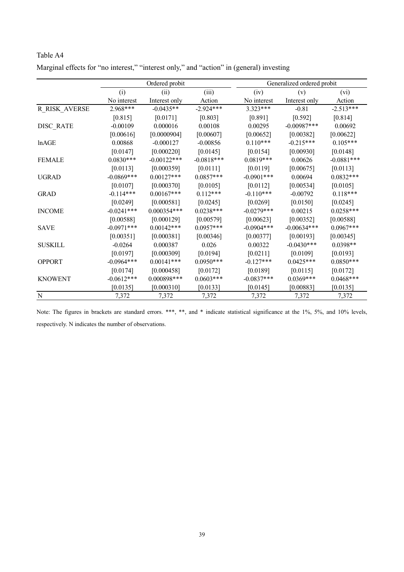|                      | Ordered probit |               |              |              | Generalized ordered probit |                   |  |  |
|----------------------|----------------|---------------|--------------|--------------|----------------------------|-------------------|--|--|
|                      | (i)            | (ii)          | (iii)        | (iv)         | (v)                        | (v <sub>i</sub> ) |  |  |
|                      | No interest    | Interest only | Action       | No interest  | Interest only              | Action            |  |  |
| <b>R_RISK_AVERSE</b> | $2.968***$     | $-0.0435**$   | $-2.924***$  | $3.323***$   | $-0.81$                    | $-2.513***$       |  |  |
|                      | $[0.815]$      | [0.0171]      | $[0.803]$    | [0.891]      | [0.592]                    | [0.814]           |  |  |
| DISC_RATE            | $-0.00109$     | 0.000016      | 0.00108      | 0.00295      | $-0.00987***$              | 0.00692           |  |  |
|                      | [0.00616]      | [0.0000904]   | [0.00607]    | [0.00652]    | [0.00382]                  | [0.00622]         |  |  |
| lnAGE                | 0.00868        | $-0.000127$   | $-0.00856$   | $0.110***$   | $-0.215***$                | $0.105***$        |  |  |
|                      | [0.0147]       | [0.000220]    | [0.0145]     | [0.0154]     | [0.00930]                  | [0.0148]          |  |  |
| <b>FEMALE</b>        | $0.0830***$    | $-0.00122***$ | $-0.0818***$ | $0.0819***$  | 0.00626                    | $-0.0881***$      |  |  |
|                      | [0.0113]       | [0.000359]    | [0.0111]     | [0.0119]     | [0.00675]                  | [0.0113]          |  |  |
| <b>UGRAD</b>         | $-0.0869$ ***  | $0.00127***$  | $0.0857***$  | $-0.0901***$ | 0.00694                    | $0.0832***$       |  |  |
|                      | [0.0107]       | [0.000370]    | [0.0105]     | [0.0112]     | [0.00534]                  | [0.0105]          |  |  |
| <b>GRAD</b>          | $-0.114***$    | $0.00167***$  | $0.112***$   | $-0.110***$  | $-0.00792$                 | $0.118***$        |  |  |
|                      | [0.0249]       | [0.000581]    | [0.0245]     | [0.0269]     | [0.0150]                   | [0.0245]          |  |  |
| <b>INCOME</b>        | $-0.0241***$   | $0.000354***$ | $0.0238***$  | $-0.0279***$ | 0.00215                    | $0.0258***$       |  |  |
|                      | [0.00588]      | [0.000129]    | [0.00579]    | [0.00623]    | [0.00352]                  | [0.00588]         |  |  |
| <b>SAVE</b>          | $-0.0971***$   | $0.00142***$  | $0.0957***$  | $-0.0904***$ | $-0.00634***$              | $0.0967***$       |  |  |
|                      | [0.00351]      | [0.000381]    | [0.00346]    | [0.00377]    | [0.00193]                  | [0.00345]         |  |  |
| <b>SUSKILL</b>       | $-0.0264$      | 0.000387      | 0.026        | 0.00322      | $-0.0430***$               | $0.0398**$        |  |  |
|                      | [0.0197]       | [0.000309]    | [0.0194]     | $[0.0211]$   | [0.0109]                   | [0.0193]          |  |  |
| <b>OPPORT</b>        | $-0.0964***$   | $0.00141***$  | $0.0950***$  | $-0.127***$  | $0.0425***$                | $0.0850***$       |  |  |
|                      | [0.0174]       | [0.000458]    | [0.0172]     | [0.0189]     | [0.0115]                   | [0.0172]          |  |  |
| <b>KNOWENT</b>       | $-0.0612***$   | $0.000898***$ | $0.0603***$  | $-0.0837***$ | $0.0369***$                | $0.0468***$       |  |  |
|                      | [0.0135]       | [0.000310]    | [0.0133]     | [0.0145]     | [0.00883]                  | [0.0135]          |  |  |
| $\mathbf N$          | 7,372          | 7,372         | 7,372        | 7,372        | 7,372                      | 7,372             |  |  |

Table A4 Marginal effects for "no interest," "interest only," and "action" in (general) investing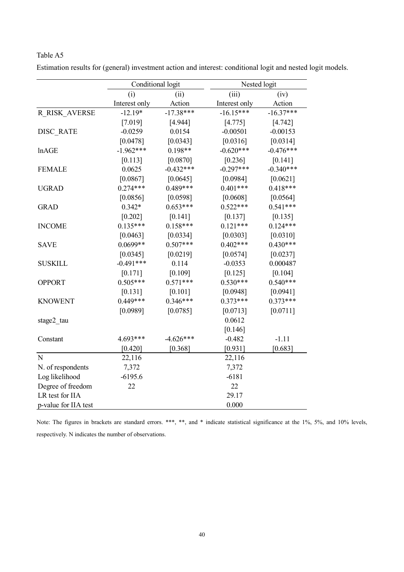|                      | Conditional logit |             | Nested logit  |             |
|----------------------|-------------------|-------------|---------------|-------------|
|                      | (i)               | (ii)        | (iii)         | (iv)        |
|                      | Interest only     | Action      | Interest only | Action      |
| R RISK AVERSE        | $-12.19*$         | $-17.38***$ | $-16.15***$   | $-16.37***$ |
|                      | [7.019]           | [4.944]     | [4.775]       | $[4.742]$   |
| <b>DISC RATE</b>     | $-0.0259$         | 0.0154      | $-0.00501$    | $-0.00153$  |
|                      | [0.0478]          | [0.0343]    | [0.0316]      | [0.0314]    |
| lnAGE                | $-1.962***$       | $0.198**$   | $-0.620***$   | $-0.476***$ |
|                      | [0.113]           | [0.0870]    | [0.236]       | $[0.141]$   |
| <b>FEMALE</b>        | 0.0625            | $-0.432***$ | $-0.297***$   | $-0.340***$ |
|                      | [0.0867]          | [0.0645]    | [0.0984]      | [0.0621]    |
| <b>UGRAD</b>         | $0.274***$        | $0.489***$  | $0.401***$    | $0.418***$  |
|                      | [0.0856]          | [0.0598]    | [0.0608]      | [0.0564]    |
| <b>GRAD</b>          | $0.342*$          | $0.653***$  | $0.522***$    | $0.541***$  |
|                      | [0.202]           | $[0.141]$   | [0.137]       | [0.135]     |
| <b>INCOME</b>        | $0.135***$        | $0.158***$  | $0.121***$    | $0.124***$  |
|                      | [0.0463]          | [0.0334]    | [0.0303]      | [0.0310]    |
| <b>SAVE</b>          | $0.0699**$        | $0.507***$  | $0.402***$    | $0.430***$  |
|                      | [0.0345]          | [0.0219]    | [0.0574]      | [0.0237]    |
| <b>SUSKILL</b>       | $-0.491***$       | 0.114       | $-0.0353$     | 0.000487    |
|                      | [0.171]           | [0.109]     | [0.125]       | [0.104]     |
| <b>OPPORT</b>        | $0.505***$        | $0.571***$  | $0.530***$    | $0.540***$  |
|                      | $[0.131]$         | $[0.101]$   | [0.0948]      | [0.0941]    |
| <b>KNOWENT</b>       | $0.449***$        | $0.346***$  | $0.373***$    | $0.373***$  |
|                      | [0.0989]          | [0.0785]    | [0.0713]      | [0.0711]    |
| stage2_tau           |                   |             | 0.0612        |             |
|                      |                   |             | [0.146]       |             |
| Constant             | 4.693***          | $-4.626***$ | $-0.482$      | $-1.11$     |
|                      | [0.420]           | [0.368]     | [0.931]       | [0.683]     |
| ${\bf N}$            | 22,116            |             | 22,116        |             |
| N. of respondents    | 7,372             |             | 7,372         |             |
| Log likelihood       | $-6195.6$         |             | $-6181$       |             |
| Degree of freedom    | 22                |             | 22            |             |
| LR test for IIA      |                   |             | 29.17         |             |
| p-value for IIA test |                   |             | 0.000         |             |

Estimation results for (general) investment action and interest: conditional logit and nested logit models.

Table A5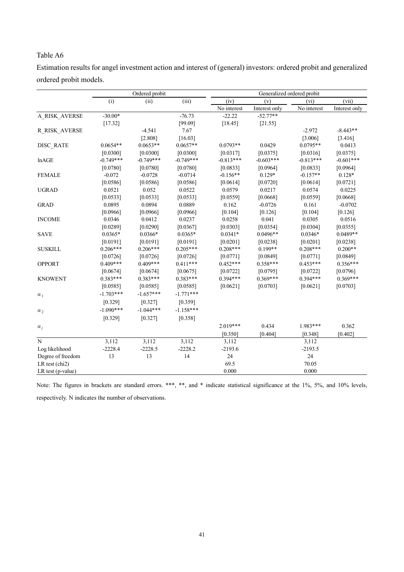Estimation results for angel investment action and interest of (general) investors: ordered probit and generalized ordered probit models.

|                   |             | Ordered probit |             |             | Generalized ordered probit |             |               |  |
|-------------------|-------------|----------------|-------------|-------------|----------------------------|-------------|---------------|--|
|                   | (i)         | (ii)           | (iii)       | (iv)        | (v)                        | (vi)        | (vii)         |  |
|                   |             |                |             | No interest | Interest only              | No interest | Interest only |  |
| A_RISK_AVERSE     | $-30.00*$   |                | $-76.73$    | $-22.22$    | $-52.77**$                 |             |               |  |
|                   | [17.32]     |                | [99.09]     | [18.45]     | [21.55]                    |             |               |  |
| R_RISK_AVERSE     |             | $-4.541$       | 7.67        |             |                            | $-2.972$    | $-8.443**$    |  |
|                   |             | [2.808]        | [16.03]     |             |                            | [3.006]     | [3.416]       |  |
| DISC RATE         | $0.0654**$  | $0.0653**$     | $0.0657**$  | $0.0793**$  | 0.0429                     | $0.0795**$  | 0.0413        |  |
|                   | [0.0300]    | [0.0300]       | [0.0300]    | [0.0317]    | [0.0375]                   | [0.0316]    | [0.0375]      |  |
| lnAGE             | $-0.749***$ | $-0.749***$    | $-0.749***$ | $-0.813***$ | $-0.603***$                | $-0.813***$ | $-0.601***$   |  |
|                   | [0.0780]    | [0.0780]       | [0.0780]    | [0.0833]    | [0.0964]                   | [0.0833]    | [0.0964]      |  |
| <b>FEMALE</b>     | $-0.072$    | $-0.0728$      | $-0.0714$   | $-0.156**$  | $0.129*$                   | $-0.157**$  | $0.128*$      |  |
|                   | [0.0586]    | [0.0586]       | [0.0586]    | [0.0614]    | [0.0720]                   | [0.0614]    | [0.0721]      |  |
| <b>UGRAD</b>      | 0.0521      | 0.052          | 0.0522      | 0.0579      | 0.0217                     | 0.0574      | 0.0225        |  |
|                   | [0.0533]    | [0.0533]       | [0.0533]    | [0.0559]    | [0.0668]                   | [0.0559]    | [0.0668]      |  |
| <b>GRAD</b>       | 0.0895      | 0.0894         | 0.0889      | 0.162       | $-0.0726$                  | 0.161       | $-0.0702$     |  |
|                   | [0.0966]    | [0.0966]       | [0.0966]    | [0.104]     | [0.126]                    | [0.104]     | [0.126]       |  |
| <b>INCOME</b>     | 0.0346      | 0.0412         | 0.0237      | 0.0258      | 0.041                      | 0.0305      | 0.0516        |  |
|                   | [0.0289]    | [0.0290]       | [0.0367]    | [0.0303]    | [0.0354]                   | [0.0304]    | [0.0355]      |  |
| <b>SAVE</b>       | $0.0365*$   | $0.0366*$      | $0.0365*$   | $0.0341*$   | $0.0496**$                 | $0.0346*$   | $0.0489**$    |  |
|                   | [0.0191]    | [0.0191]       | [0.0191]    | [0.0201]    | [0.0238]                   | [0.0201]    | [0.0238]      |  |
| <b>SUSKILL</b>    | $0.206***$  | $0.206***$     | $0.205***$  | $0.208***$  | $0.199**$                  | $0.208***$  | $0.200**$     |  |
|                   | [0.0726]    | [0.0726]       | [0.0726]    | [0.0771]    | [0.0849]                   | [0.0771]    | [0.0849]      |  |
| <b>OPPORT</b>     | $0.409***$  | $0.409***$     | $0.411***$  | $0.452***$  | $0.358***$                 | $0.453***$  | $0.356***$    |  |
|                   | [0.0674]    | [0.0674]       | [0.0675]    | [0.0722]    | [0.0795]                   | [0.0722]    | [0.0796]      |  |
| <b>KNOWENT</b>    | $0.383***$  | $0.383***$     | $0.383***$  | $0.394***$  | $0.369***$                 | $0.394***$  | $0.369***$    |  |
|                   | [0.0585]    | [0.0585]       | [0.0585]    | [0.0621]    | [0.0703]                   | [0.0621]    | [0.0703]      |  |
| $\alpha_1$        | $-1.703***$ | $-1.657***$    | $-1.771***$ |             |                            |             |               |  |
|                   | [0.329]     | $[0.327]$      | [0.359]     |             |                            |             |               |  |
| $\alpha_2$        | $-1.090***$ | $-1.044***$    | $-1.158***$ |             |                            |             |               |  |
|                   | [0.329]     | $[0.327]$      | [0.358]     |             |                            |             |               |  |
| $\alpha_i$        |             |                |             | $2.019***$  | 0.434                      | $1.983***$  | 0.362         |  |
|                   |             |                |             | [0.350]     | [0.404]                    | [0.348]     | [0.402]       |  |
| ${\bf N}$         | 3,112       | 3,112          | 3,112       | 3,112       |                            | 3,112       |               |  |
| Log likelihood    | $-2228.4$   | $-2228.5$      | $-2228.2$   | $-2193.6$   |                            | $-2193.5$   |               |  |
| Degree of freedom | 13          | 13             | 14          | 24          |                            | 24          |               |  |
| LR test (chi2)    |             |                |             | 69.5        |                            | 70.05       |               |  |
| LR test (p-value) |             |                |             | 0.000       |                            | 0.000       |               |  |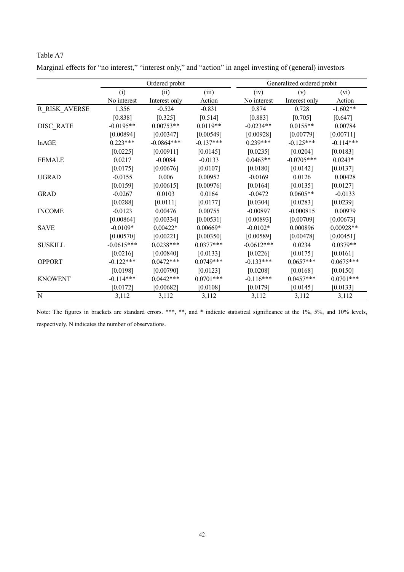|                | Ordered probit |               |             |              | Generalized ordered probit |             |  |  |
|----------------|----------------|---------------|-------------|--------------|----------------------------|-------------|--|--|
|                | (i)            | (ii)          | (iii)       | (iv)         | (v)                        | (vi)        |  |  |
|                | No interest    | Interest only | Action      | No interest  | Interest only              | Action      |  |  |
| R_RISK_AVERSE  | 1.356          | $-0.524$      | $-0.831$    | 0.874        | 0.728                      | $-1.602**$  |  |  |
|                | [0.838]        | [0.325]       | [0.514]     | [0.883]      | [0.705]                    | [0.647]     |  |  |
| DISC RATE      | $-0.0195**$    | $0.00753**$   | $0.0119**$  | $-0.0234**$  | $0.0155**$                 | 0.00784     |  |  |
|                | [0.00894]      | [0.00347]     | [0.00549]   | [0.00928]    | [0.00779]                  | [0.00711]   |  |  |
| lnAGE          | $0.223***$     | $-0.0864***$  | $-0.137***$ | $0.239***$   | $-0.125***$                | $-0.114***$ |  |  |
|                | [0.0225]       | [0.00911]     | [0.0145]    | [0.0235]     | [0.0204]                   | [0.0183]    |  |  |
| <b>FEMALE</b>  | 0.0217         | $-0.0084$     | $-0.0133$   | $0.0463**$   | $-0.0705***$               | $0.0243*$   |  |  |
|                | [0.0175]       | [0.00676]     | [0.0107]    | [0.0180]     | [0.0142]                   | [0.0137]    |  |  |
| <b>UGRAD</b>   | $-0.0155$      | 0.006         | 0.00952     | $-0.0169$    | 0.0126                     | 0.00428     |  |  |
|                | [0.0159]       | [0.00615]     | [0.00976]   | [0.0164]     | [0.0135]                   | [0.0127]    |  |  |
| <b>GRAD</b>    | $-0.0267$      | 0.0103        | 0.0164      | $-0.0472$    | $0.0605**$                 | $-0.0133$   |  |  |
|                | [0.0288]       | [0.0111]      | [0.0177]    | [0.0304]     | [0.0283]                   | [0.0239]    |  |  |
| <b>INCOME</b>  | $-0.0123$      | 0.00476       | 0.00755     | $-0.00897$   | $-0.000815$                | 0.00979     |  |  |
|                | [0.00864]      | [0.00334]     | [0.00531]   | [0.00893]    | [0.00709]                  | [0.00673]   |  |  |
| <b>SAVE</b>    | $-0.0109*$     | $0.00422*$    | $0.00669*$  | $-0.0102*$   | 0.000896                   | $0.00928**$ |  |  |
|                | [0.00570]      | [0.00221]     | [0.00350]   | [0.00589]    | [0.00478]                  | [0.00451]   |  |  |
| <b>SUSKILL</b> | $-0.0615***$   | $0.0238***$   | $0.0377***$ | $-0.0612***$ | 0.0234                     | $0.0379**$  |  |  |
|                | [0.0216]       | [0.00840]     | [0.0133]    | [0.0226]     | [0.0175]                   | [0.0161]    |  |  |
| <b>OPPORT</b>  | $-0.122***$    | $0.0472***$   | $0.0749***$ | $-0.133***$  | $0.0657***$                | $0.0675***$ |  |  |
|                | [0.0198]       | [0.00790]     | [0.0123]    | [0.0208]     | [0.0168]                   | [0.0150]    |  |  |
| <b>KNOWENT</b> | $-0.114***$    | $0.0442***$   | $0.0701***$ | $-0.116***$  | $0.0457***$                | $0.0701***$ |  |  |
|                | [0.0172]       | [0.00682]     | [0.0108]    | [0.0179]     | [0.0145]                   | [0.0133]    |  |  |
| ${\bf N}$      | 3,112          | 3,112         | 3,112       | 3,112        | 3,112                      | 3,112       |  |  |

| Marginal effects for "no interest," "interest only," and "action" in angel investing of (general) investors |  |  |  |
|-------------------------------------------------------------------------------------------------------------|--|--|--|
|-------------------------------------------------------------------------------------------------------------|--|--|--|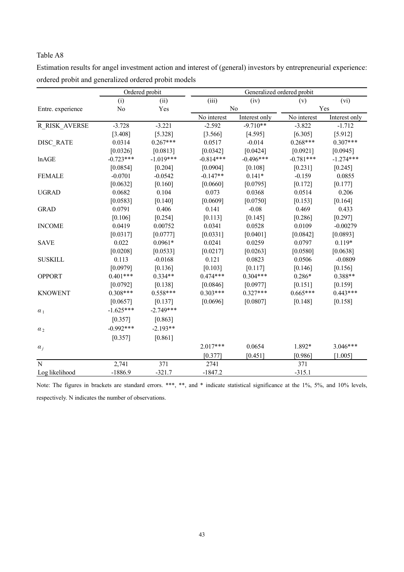|                   | Ordered probit |             |             | Generalized ordered probit |             |               |  |
|-------------------|----------------|-------------|-------------|----------------------------|-------------|---------------|--|
|                   | (i)            | (ii)        | (iii)       | (iv)                       | (v)         | (vi)          |  |
| Entre. experience | No             | Yes         | No          |                            | Yes         |               |  |
|                   |                |             | No interest | Interest only              | No interest | Interest only |  |
| R RISK AVERSE     | $-3.728$       | $-3.221$    | $-2.592$    | $-9.710**$                 | $-3.822$    | $-1.712$      |  |
|                   | [3.408]        | [5.328]     | [3.566]     | [4.595]                    | [6.305]     | [5.912]       |  |
| DISC RATE         | 0.0314         | $0.267***$  | 0.0517      | $-0.014$                   | $0.268***$  | $0.307***$    |  |
|                   | [0.0326]       | [0.0813]    | [0.0342]    | [0.0424]                   | [0.0921]    | [0.0945]      |  |
| <b>lnAGE</b>      | $-0.723***$    | $-1.019***$ | $-0.814***$ | $-0.496***$                | $-0.781***$ | $-1.274***$   |  |
|                   | [0.0854]       | [0.204]     | [0.0904]    | [0.108]                    | [0.231]     | [0.245]       |  |
| <b>FEMALE</b>     | $-0.0701$      | $-0.0542$   | $-0.147**$  | $0.141*$                   | $-0.159$    | 0.0855        |  |
|                   | [0.0632]       | [0.160]     | [0.0660]    | [0.0795]                   | [0.172]     | [0.177]       |  |
| <b>UGRAD</b>      | 0.0682         | 0.104       | 0.073       | 0.0368                     | 0.0514      | 0.206         |  |
|                   | [0.0583]       | [0.140]     | [0.0609]    | [0.0750]                   | [0.153]     | [0.164]       |  |
| <b>GRAD</b>       | 0.0791         | 0.406       | 0.141       | $-0.08$                    | 0.469       | 0.433         |  |
|                   | [0.106]        | [0.254]     | [0.113]     | [0.145]                    | [0.286]     | [0.297]       |  |
| <b>INCOME</b>     | 0.0419         | 0.00752     | 0.0341      | 0.0528                     | 0.0109      | $-0.00279$    |  |
|                   | [0.0317]       | [0.0777]    | [0.0331]    | [0.0401]                   | [0.0842]    | [0.0893]      |  |
| <b>SAVE</b>       | 0.022          | $0.0961*$   | 0.0241      | 0.0259                     | 0.0797      | $0.119*$      |  |
|                   | [0.0208]       | [0.0533]    | [0.0217]    | [0.0263]                   | [0.0580]    | [0.0638]      |  |
| <b>SUSKILL</b>    | 0.113          | $-0.0168$   | 0.121       | 0.0823                     | 0.0506      | $-0.0809$     |  |
|                   | [0.0979]       | [0.136]     | [0.103]     | [0.117]                    | [0.146]     | [0.156]       |  |
| <b>OPPORT</b>     | $0.401***$     | $0.334**$   | $0.474***$  | $0.304***$                 | $0.286*$    | $0.388**$     |  |
|                   | [0.0792]       | [0.138]     | [0.0846]    | [0.0977]                   | [0.151]     | [0.159]       |  |
| <b>KNOWENT</b>    | $0.308***$     | $0.558***$  | $0.303***$  | $0.327***$                 | $0.665***$  | $0.443***$    |  |
|                   | [0.0657]       | [0.137]     | [0.0696]    | [0.0807]                   | [0.148]     | [0.158]       |  |
| $\alpha_1$        | $-1.625***$    | $-2.749***$ |             |                            |             |               |  |
|                   | [0.357]        | [0.863]     |             |                            |             |               |  |
| $\alpha_2$        | $-0.992***$    | $-2.193**$  |             |                            |             |               |  |
|                   | [0.357]        | [0.861]     |             |                            |             |               |  |
| $\alpha_j$        |                |             | $2.017***$  | 0.0654                     | 1.892*      | 3.046***      |  |
|                   |                |             | [0.377]     | [0.451]                    | [0.986]     | [1.005]       |  |
| N                 | 2,741          | 371         | 2741        |                            | 371         |               |  |
| Log likelihood    | $-1886.9$      | $-321.7$    | $-1847.2$   |                            | $-315.1$    |               |  |

Estimation results for angel investment action and interest of (general) investors by entrepreneurial experience: ordered probit and generalized ordered probit models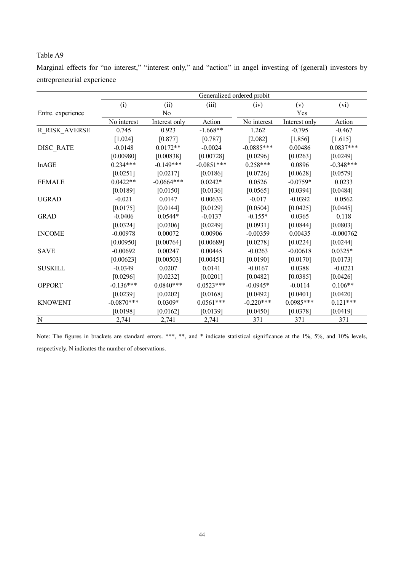Marginal effects for "no interest," "interest only," and "action" in angel investing of (general) investors by entrepreneurial experience

|                      | Generalized ordered probit |                |              |              |               |             |  |  |
|----------------------|----------------------------|----------------|--------------|--------------|---------------|-------------|--|--|
|                      | (i)                        | (ii)           | (iii)        | (iv)         | (v)           | (vi)        |  |  |
| Entre. experience    |                            | N <sub>0</sub> |              | Yes          |               |             |  |  |
|                      | No interest                | Interest only  | Action       | No interest  | Interest only | Action      |  |  |
| <b>R_RISK_AVERSE</b> | 0.745                      | 0.923          | $-1.668**$   | 1.262        | $-0.795$      | $-0.467$    |  |  |
|                      | [1.024]                    | $[0.877]$      | $[0.787]$    | [2.082]      | [1.856]       | [1.615]     |  |  |
| DISC RATE            | $-0.0148$                  | $0.0172**$     | $-0.0024$    | $-0.0885***$ | 0.00486       | $0.0837***$ |  |  |
|                      | [0.00980]                  | [0.00838]      | [0.00728]    | [0.0296]     | [0.0263]      | [0.0249]    |  |  |
| lnAGE                | $0.234***$                 | $-0.149***$    | $-0.0851***$ | $0.258***$   | 0.0896        | $-0.348***$ |  |  |
|                      | [0.0251]                   | [0.0217]       | [0.0186]     | [0.0726]     | [0.0628]      | [0.0579]    |  |  |
| <b>FEMALE</b>        | $0.0422**$                 | $-0.0664***$   | $0.0242*$    | 0.0526       | $-0.0759*$    | 0.0233      |  |  |
|                      | [0.0189]                   | [0.0150]       | [0.0136]     | [0.0565]     | [0.0394]      | [0.0484]    |  |  |
| <b>UGRAD</b>         | $-0.021$                   | 0.0147         | 0.00633      | $-0.017$     | $-0.0392$     | 0.0562      |  |  |
|                      | [0.0175]                   | [0.0144]       | [0.0129]     | [0.0504]     | [0.0425]      | [0.0445]    |  |  |
| <b>GRAD</b>          | $-0.0406$                  | $0.0544*$      | $-0.0137$    | $-0.155*$    | 0.0365        | 0.118       |  |  |
|                      | [0.0324]                   | [0.0306]       | [0.0249]     | [0.0931]     | [0.0844]      | [0.0803]    |  |  |
| <b>INCOME</b>        | $-0.00978$                 | 0.00072        | 0.00906      | $-0.00359$   | 0.00435       | $-0.000762$ |  |  |
|                      | [0.00950]                  | [0.00764]      | [0.00689]    | [0.0278]     | [0.0224]      | [0.0244]    |  |  |
| <b>SAVE</b>          | $-0.00692$                 | 0.00247        | 0.00445      | $-0.0263$    | $-0.00618$    | $0.0325*$   |  |  |
|                      | [0.00623]                  | [0.00503]      | [0.00451]    | [0.0190]     | [0.0170]      | [0.0173]    |  |  |
| <b>SUSKILL</b>       | $-0.0349$                  | 0.0207         | 0.0141       | $-0.0167$    | 0.0388        | $-0.0221$   |  |  |
|                      | [0.0296]                   | [0.0232]       | [0.0201]     | [0.0482]     | [0.0385]      | [0.0426]    |  |  |
| <b>OPPORT</b>        | $-0.136***$                | $0.0840***$    | $0.0523***$  | $-0.0945*$   | $-0.0114$     | $0.106**$   |  |  |
|                      | [0.0239]                   | [0.0202]       | [0.0168]     | [0.0492]     | [0.0401]      | [0.0420]    |  |  |
| <b>KNOWENT</b>       | $-0.0870***$               | $0.0309*$      | $0.0561***$  | $-0.220***$  | $0.0985***$   | $0.121***$  |  |  |
|                      | [0.0198]                   | [0.0162]       | [0.0139]     | [0.0450]     | [0.0378]      | [0.0419]    |  |  |
| ${\bf N}$            | 2,741                      | 2,741          | 2,741        | 371          | 371           | 371         |  |  |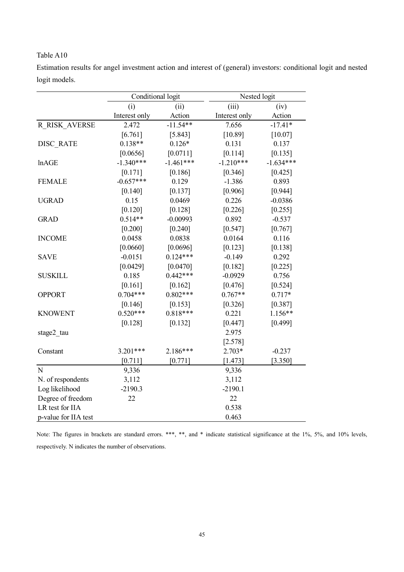| Estimation results for angel investment action and interest of (general) investors: conditional logit and nested |  |  |  |  |  |
|------------------------------------------------------------------------------------------------------------------|--|--|--|--|--|
| logit models.                                                                                                    |  |  |  |  |  |

|                      | Conditional logit |             | Nested logit  |             |  |  |
|----------------------|-------------------|-------------|---------------|-------------|--|--|
|                      | (i)               | (ii)        | (iii)         | (iv)        |  |  |
|                      | Interest only     | Action      | Interest only | Action      |  |  |
| R RISK AVERSE        | 2.472             | $-11.54**$  | 7.656         | $-17.41*$   |  |  |
|                      | [6.761]           | [5.843]     | [10.89]       | $[10.07]$   |  |  |
| <b>DISC RATE</b>     | $0.138**$         | $0.126*$    | 0.131         | 0.137       |  |  |
|                      | [0.0656]          | [0.0711]    | [0.114]       | [0.135]     |  |  |
| lnAGE                | $-1.340***$       | $-1.461***$ | $-1.210***$   | $-1.634***$ |  |  |
|                      | $[0.171]$         | [0.186]     | [0.346]       | $[0.425]$   |  |  |
| <b>FEMALE</b>        | $-0.657***$       | 0.129       | $-1.386$      | 0.893       |  |  |
|                      | [0.140]           | [0.137]     | [0.906]       | [0.944]     |  |  |
| <b>UGRAD</b>         | 0.15              | 0.0469      | 0.226         | $-0.0386$   |  |  |
|                      | [0.120]           | [0.128]     | [0.226]       | [0.255]     |  |  |
| <b>GRAD</b>          | $0.514**$         | $-0.00993$  | 0.892         | $-0.537$    |  |  |
|                      | [0.200]           | [0.240]     | [0.547]       | [0.767]     |  |  |
| <b>INCOME</b>        | 0.0458            | 0.0838      | 0.0164        | 0.116       |  |  |
|                      | [0.0660]          | [0.0696]    | [0.123]       | [0.138]     |  |  |
| <b>SAVE</b>          | $-0.0151$         | $0.124***$  | $-0.149$      | 0.292       |  |  |
|                      | [0.0429]          | [0.0470]    | [0.182]       | [0.225]     |  |  |
| <b>SUSKILL</b>       | 0.185             | $0.442***$  | $-0.0929$     | 0.756       |  |  |
|                      | [0.161]           | [0.162]     | [0.476]       | [0.524]     |  |  |
| <b>OPPORT</b>        | $0.704***$        | $0.802***$  | $0.767**$     | $0.717*$    |  |  |
|                      | [0.146]           | [0.153]     | [0.326]       | [0.387]     |  |  |
| <b>KNOWENT</b>       | $0.520***$        | $0.818***$  | 0.221         | $1.156**$   |  |  |
|                      | [0.128]           | [0.132]     | [0.447]       | [0.499]     |  |  |
| stage2 tau           |                   |             | 2.975         |             |  |  |
|                      |                   |             | [2.578]       |             |  |  |
| Constant             | $3.201***$        | 2.186***    | 2.703*        | $-0.237$    |  |  |
|                      | [0.711]           | [0.771]     | [1.473]       | [3.350]     |  |  |
| N                    | 9,336             |             | 9,336         |             |  |  |
| N. of respondents    | 3,112             |             | 3,112         |             |  |  |
| Log likelihood       | $-2190.3$         |             | $-2190.1$     |             |  |  |
| Degree of freedom    | 22                |             | 22            |             |  |  |
| LR test for IIA      |                   |             | 0.538         |             |  |  |
| p-value for IIA test |                   |             | 0.463         |             |  |  |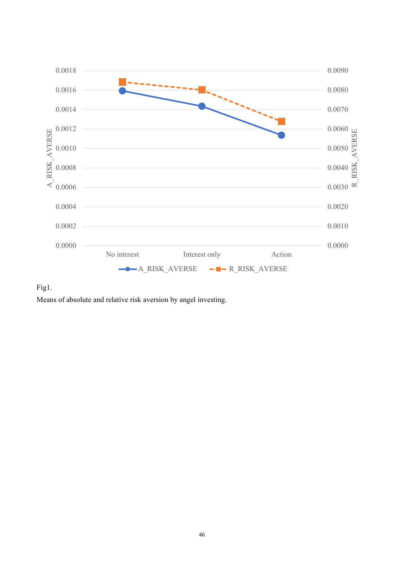

Fig1.

Means of absolute and relative risk aversion by angel investing.